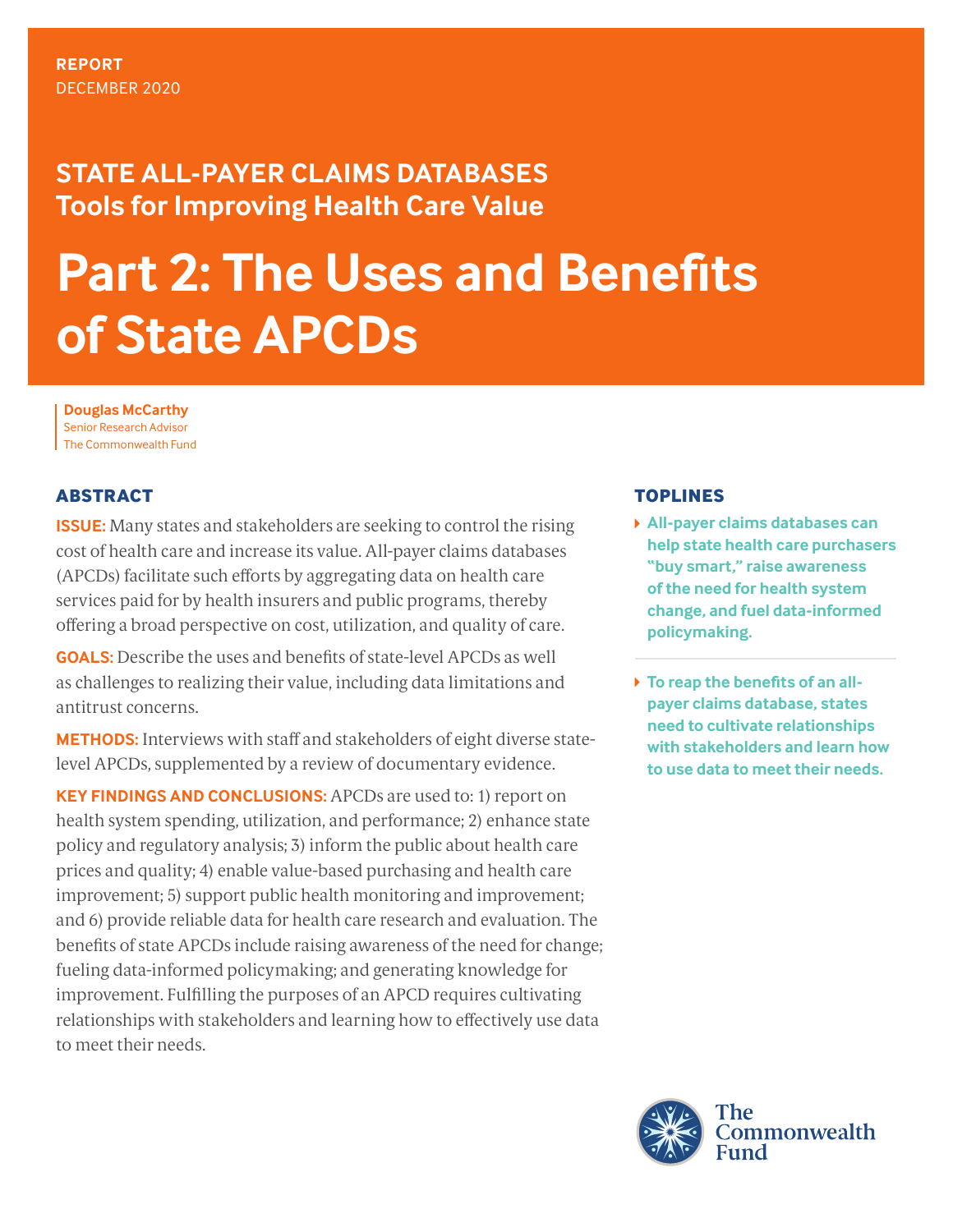## **STATE ALL-PAYER CLAIMS DATABASES Tools for Improving Health Care Value**

# **Part 2: The Uses and Benefits of State APCDs**

**Douglas McCarthy**  Senior Research Advisor The Commonwealth Fund

## **ABSTRACT**

**ISSUE:** Many states and stakeholders are seeking to control the rising cost of health care and increase its value. All-payer claims databases (APCDs) facilitate such efforts by aggregating data on health care services paid for by health insurers and public programs, thereby offering a broad perspective on cost, utilization, and quality of care.

**GOALS:** Describe the uses and benefits of state-level APCDs as well as challenges to realizing their value, including data limitations and antitrust concerns.

**METHODS:** Interviews with staff and stakeholders of eight diverse statelevel APCDs, supplemented by a review of documentary evidence.

**KEY FINDINGS AND CONCLUSIONS:** APCDs are used to: 1) report on health system spending, utilization, and performance; 2) enhance state policy and regulatory analysis; 3) inform the public about health care prices and quality; 4) enable value-based purchasing and health care improvement; 5) support public health monitoring and improvement; and 6) provide reliable data for health care research and evaluation. The benefits of state APCDs include raising awareness of the need for change; fueling data-informed policymaking; and generating knowledge for improvement. Fulfilling the purposes of an APCD requires cultivating relationships with stakeholders and learning how to effectively use data to meet their needs.

## **TOPLINES**

- **All-payer claims databases can help state health care purchasers "buy smart," raise awareness of the need for health system change, and fuel data-informed policymaking.**
- **To reap the benefits of an allpayer claims database, states need to cultivate relationships with stakeholders and learn how to use data to meet their needs.**

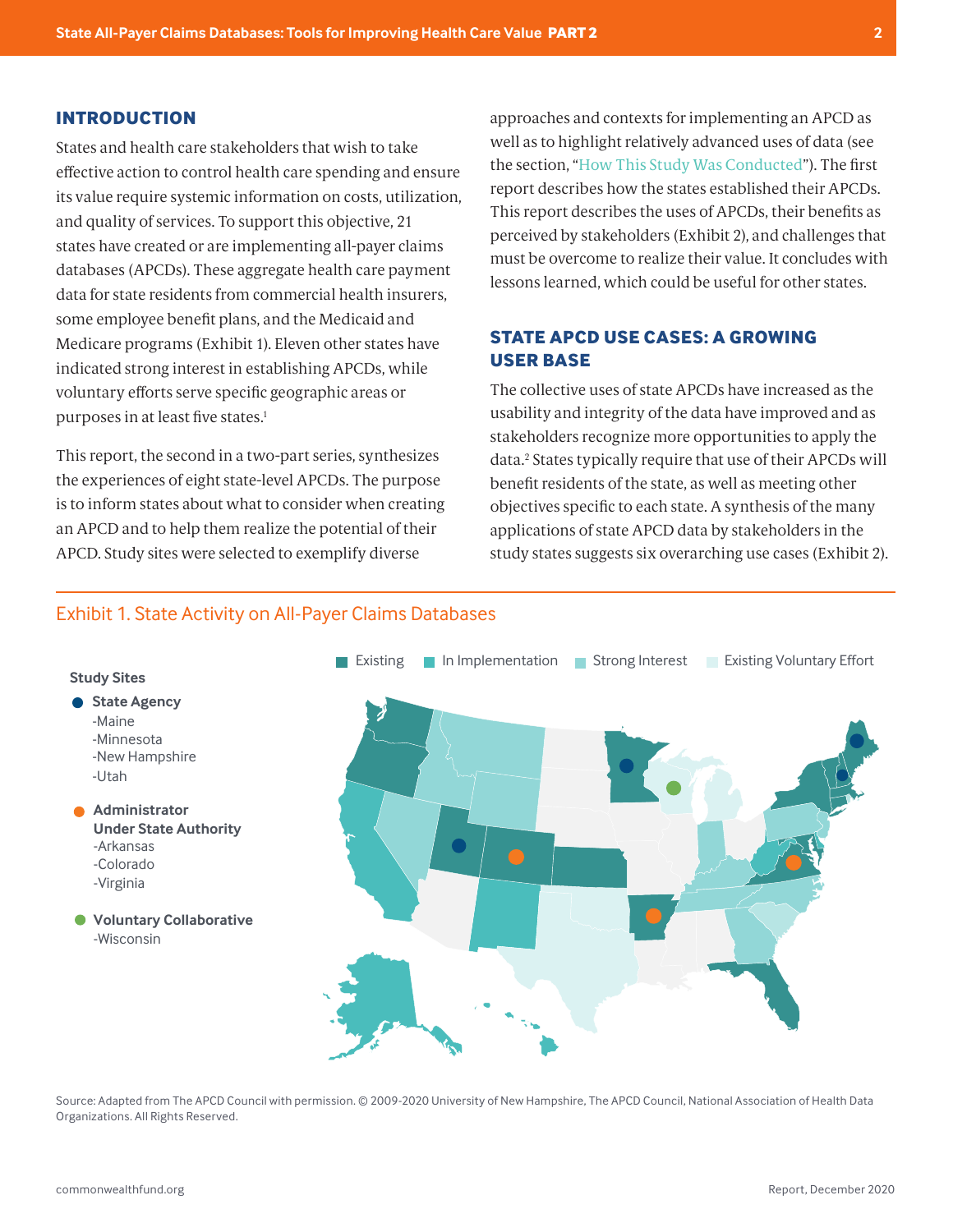#### <span id="page-1-0"></span>**INTRODUCTION**

 $\overline{\phantom{a}}$ 

States and health care stakeholders that wish to take effective action to control health care spending and ensure its value require systemic information on costs, utilization, and quality of services. To support this objective, 21 states have created or are implementing all-payer claims databases (APCDs). These aggregate health care payment data for state residents from commercial health insurers, some employee benefit plans, and the Medicaid and Medicare programs (Exhibit 1). Eleven other states have indicated strong interest in establishing APCDs, while voluntary efforts serve specific geographic areas or purposes in at least five states.<sup>1</sup>

This report, the second in a two-part series, synthesizes the experiences of eight state-level APCDs. The purpose is to inform states about what to consider when creating an APCD and to help them realize the potential of their APCD. Study sites were selected to exemplify diverse

approaches and contexts for implementing an APCD as well as to highlight relatively advanced uses of data (see the section, "[How This Study Was Conducted](#page-12-0)"). The first report describes how the states established their APCDs. This report describes the uses of APCDs, their benefits as perceived by stakeholders (Exhibit 2), and challenges that must be overcome to realize their value. It concludes with lessons learned, which could be useful for other states.

## **STATE APCD USE CASES: A GROWING USER BASE**

The collective uses of state APCDs have increased as the usability and integrity of the data have improved and as stakeholders recognize more opportunities to apply the data[.2](#page-15-0) States typically require that use of their APCDs will benefit residents of the state, as well as meeting other objectives specific to each state. A synthesis of the many applications of state APCD data by stakeholders in the study states suggests six overarching use cases (Exhibit 2).

#### Exhibit 1. State Activity on All-Payer Claims Databases



Source: Adapted from The APCD Council with permission. © 2009-2020 University of New Hampshire, The APCD Council, National Association of Health Data Organizations. All Rights Reserved.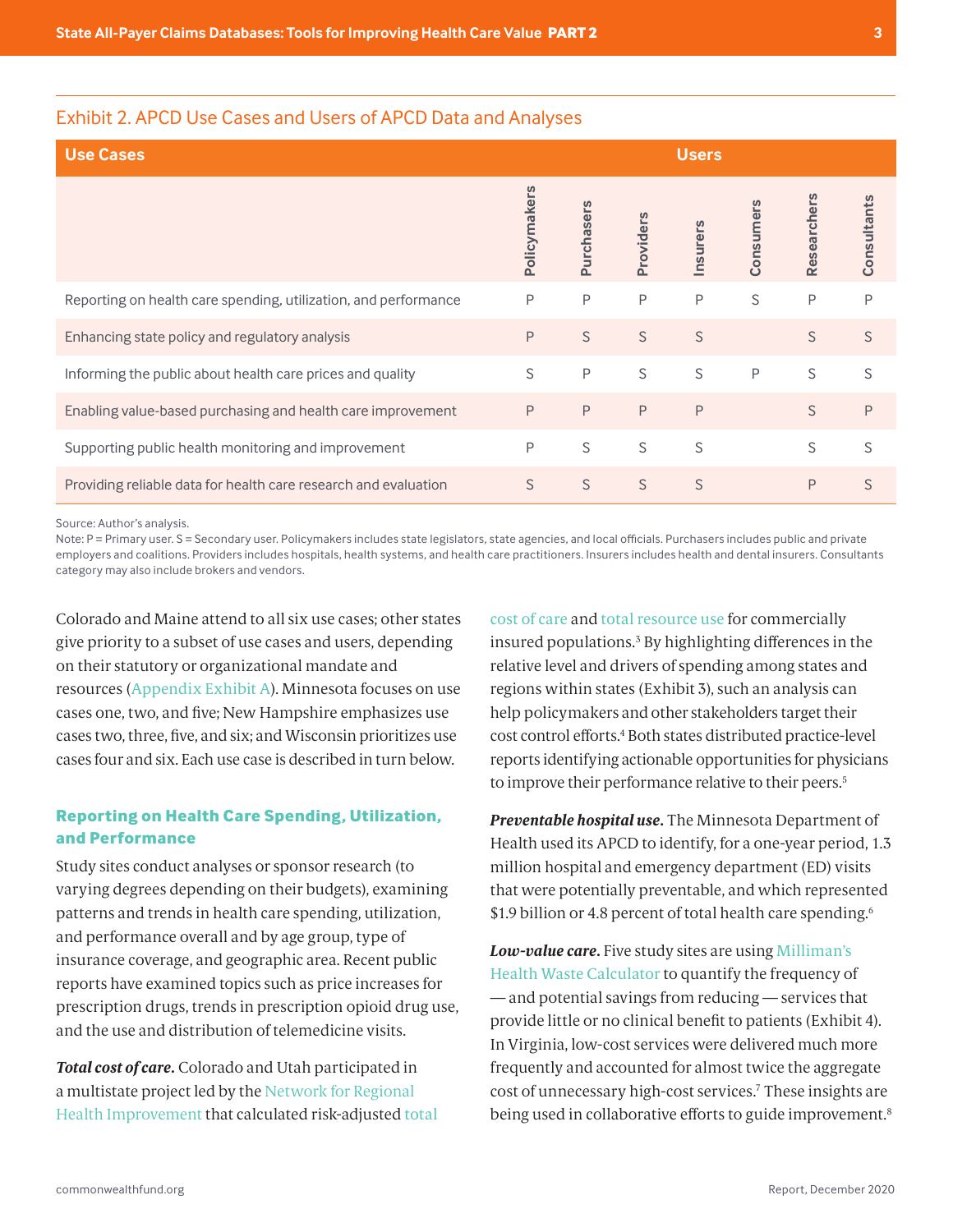#### <span id="page-2-0"></span>Exhibit 2. APCD Use Cases and Users of APCD Data and Analyses

| <b>Use Cases</b>                                                |              |            |          | <b>Users</b> |              |             |             |
|-----------------------------------------------------------------|--------------|------------|----------|--------------|--------------|-------------|-------------|
|                                                                 | Policymakers | Purchasers | Provider | Insurers     | mer<br>Consu | Researchers | Consultants |
| Reporting on health care spending, utilization, and performance | P            | P          | P        | P            | S            | P           | P           |
| Enhancing state policy and regulatory analysis                  | P            | S          | S        | S            |              | S           | S           |
| Informing the public about health care prices and quality       | S            | P          | S        | S            | P            | S           | S           |
| Enabling value-based purchasing and health care improvement     | P            | P          | P        | P            |              | S           | P           |
| Supporting public health monitoring and improvement             | P            | S          | S        | S            |              | S           | S           |
| Providing reliable data for health care research and evaluation | S            | S          | S        | S            |              | P           | S           |

Source: Author's analysis.

Note: P = Primary user. S = Secondary user. Policymakers includes state legislators, state agencies, and local officials. Purchasers includes public and private employers and coalitions. Providers includes hospitals, health systems, and health care practitioners. Insurers includes health and dental insurers. Consultants category may also include brokers and vendors.

give priority to a subset of use cases and users, depending Colorado and Maine attend to all six use cases; other states on their statutory or organizational mandate and resources ([Appendix Exhibit A](#page-13-0)). Minnesota focuses on use cases one, two, and five; New Hampshire emphasizes use cases two, three, five, and six; and Wisconsin prioritizes use cases four and six. Each use case is described in turn below.

#### **Reporting on Health Care Spending, Utilization, and Performance**

Study sites conduct analyses or sponsor research (to varying degrees depending on their budgets), examining patterns and trends in health care spending, utilization, and performance overall and by age group, type of insurance coverage, and geographic area. Recent public reports have examined topics such as price increases for prescription drugs, trends in prescription opioid drug use, and the use and distribution of telemedicine visits.

*Total cost of care.* Colorado and Utah participated in a multistate project led by the [Network for Regional](https://www.nrhi.org/nrhi-member-work/healthcare-affordability/)  [Health Improvement](https://www.nrhi.org/nrhi-member-work/healthcare-affordability/) that calculated risk-adjusted [total](http://www.qualityforum.org/QPS/1604)  [cost of care](http://www.qualityforum.org/QPS/1604) and [total resource use](http://www.qualityforum.org/QPS/1598) for commercially insured populations.[3](#page-15-0) By highlighting differences in the relative level and drivers of spending among states and regions within states (Exhibit 3), such an analysis can help policymakers and other stakeholders target their cost control efforts[.4](#page-15-0) Both states distributed practice-level reports identifying actionable opportunities for physicians to improve their performance relative to their peers.<sup>5</sup>

*Preventable hospital use.* The Minnesota Department of Health used its APCD to identify, for a one-year period, 1.3 million hospital and emergency department (ED) visits that were potentially preventable, and which represented \$1.9 billion or 4.8 percent of total health care spending.<sup>6</sup>

*Low-value care.* Five study sites are using [Milliman's](http://vbidhealth.com/docs/Health-Waste-Calculator.pdf)  [Health Waste Calculator](http://vbidhealth.com/docs/Health-Waste-Calculator.pdf) to quantify the frequency of — and potential savings from reducing — services that provide little or no clinical benefit to patients (Exhibit 4). In Virginia, low-cost services were delivered much more frequently and accounted for almost twice the aggregate cost of unnecessary high-cost services.[7](#page-15-0) These insights are being used in collaborative efforts to guide improvement.<sup>[8](#page-15-0)</sup>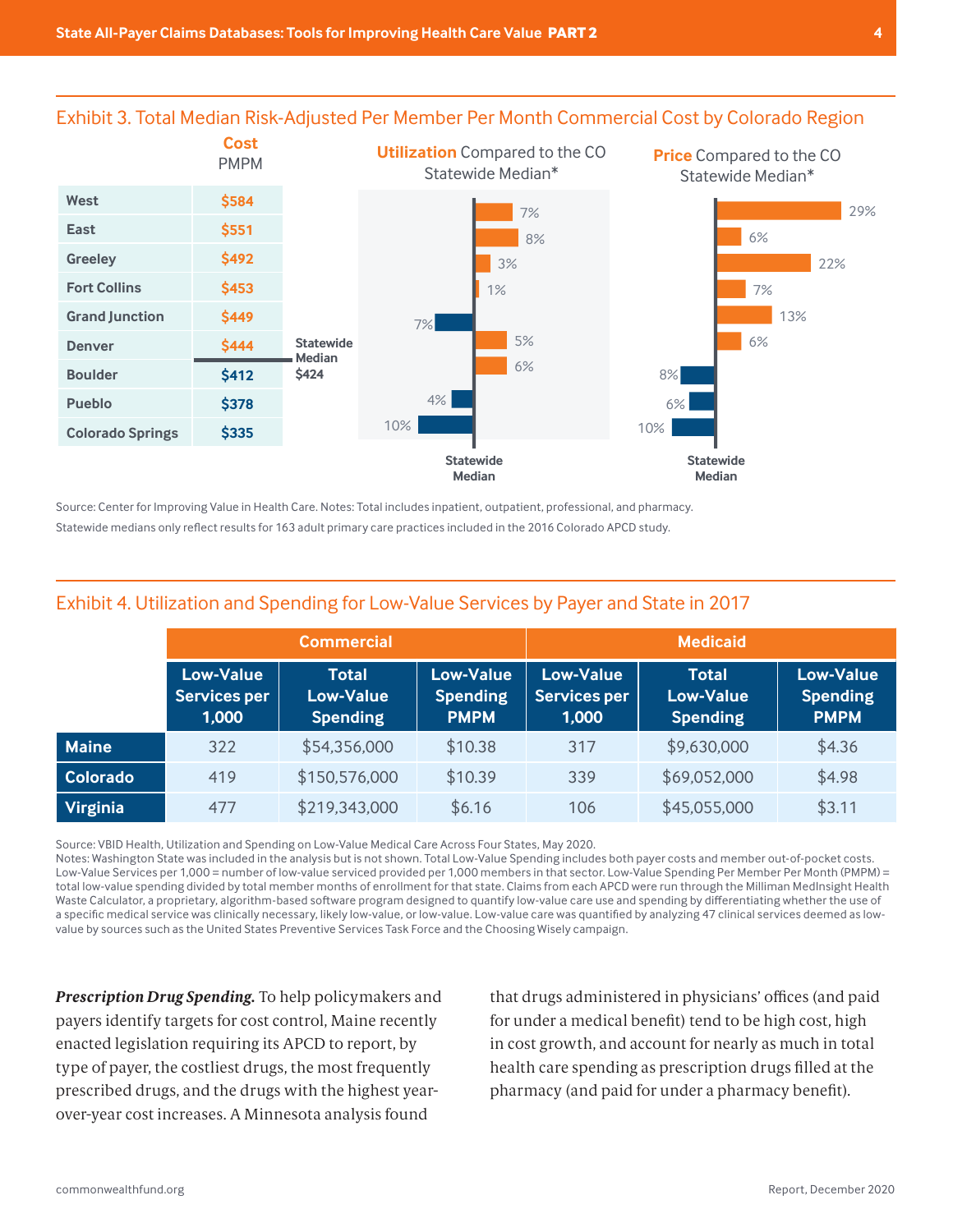

Exhibit 3. Total Median Risk-Adjusted Per Member Per Month Commercial Cost by Colorado Region

Statewide medians only reflect results for 163 adult primary care practices included in the 2016 Colorado APCD study.<br>. Source: Center for Improving Value in Health Care. Notes: Total includes inpatient, outpatient, professional, and pharmacy.

|                 |                                                  | <b>Commercial</b>                                   |                                                    | <b>Medicaid</b>                                  |                                                     |                                                    |  |  |  |
|-----------------|--------------------------------------------------|-----------------------------------------------------|----------------------------------------------------|--------------------------------------------------|-----------------------------------------------------|----------------------------------------------------|--|--|--|
|                 | <b>Low-Value</b><br><b>Services per</b><br>1,000 | <b>Total</b><br><b>Low-Value</b><br><b>Spending</b> | <b>Low-Value</b><br><b>Spending</b><br><b>PMPM</b> | <b>Low-Value</b><br><b>Services per</b><br>1,000 | <b>Total</b><br><b>Low-Value</b><br><b>Spending</b> | <b>Low-Value</b><br><b>Spending</b><br><b>PMPM</b> |  |  |  |
| <b>Maine</b>    | 322                                              | \$54,356,000                                        | \$10.38                                            | 317                                              | \$9,630,000                                         | \$4.36                                             |  |  |  |
| <b>Colorado</b> | 419                                              | \$150,576,000                                       | \$10.39                                            | 339                                              | \$69,052,000                                        | \$4.98                                             |  |  |  |
| Virginia        | 477                                              | \$219,343,000                                       | \$6.16                                             | 106                                              | \$45,055,000                                        | \$3.11                                             |  |  |  |

## Exhibit 4. Utilization and Spending for Low-Value Services by Payer and State in 2017

Source: VBID Health, Utilization and Spending on Low-Value Medical Care Across Four States, May 2020.

Notes: Washington State was included in the analysis but is not shown. Total Low-Value Spending includes both payer costs and member out-of-pocket costs. Low-Value Services per 1,000 = number of low-value serviced provided per 1,000 members in that sector. Low-Value Spending Per Member Per Month (PMPM) = total low-value spending divided by total member months of enrollment for that state. Claims from each APCD were run through the Milliman MedInsight Health Waste Calculator, a proprietary, algorithm-based software program designed to quantify low-value care use and spending by differentiating whether the use of a specific medical service was clinically necessary, likely low-value, or low-value. Low-value care was quantified by analyzing 47 clinical services deemed as lowvalue by sources such as the United States Preventive Services Task Force and the Choosing Wisely campaign.

*Prescription Drug Spending.* To help policymakers and payers identify targets for cost control, Maine recently enacted legislation requiring its APCD to report, by type of payer, the costliest drugs, the most frequently over-year cost increases. A Minnesota analysis found clinical services deemed as low-value by sources such as the United States Preventive Services Task Force and the Choosing Wisely campaign.

prescribed drugs, and the drugs with the highest year-<br>pharmacy (and paid for under a pharmacy benefit). that drugs administered in physicians' offices (and paid for under a medical benefit) tend to be high cost, high enacted legislation requiring its APCD to report, by http://www.in cost growth, and account for nearly as much in total type of payer, the costliest drugs, the most frequently health care spending as prescription drugs filled at the pharmacy (and paid for under a pharmacy benefit). number of low-value services per 1,000 members in the sector. Low-Value Spending Per Month (PMPM) sector. Low-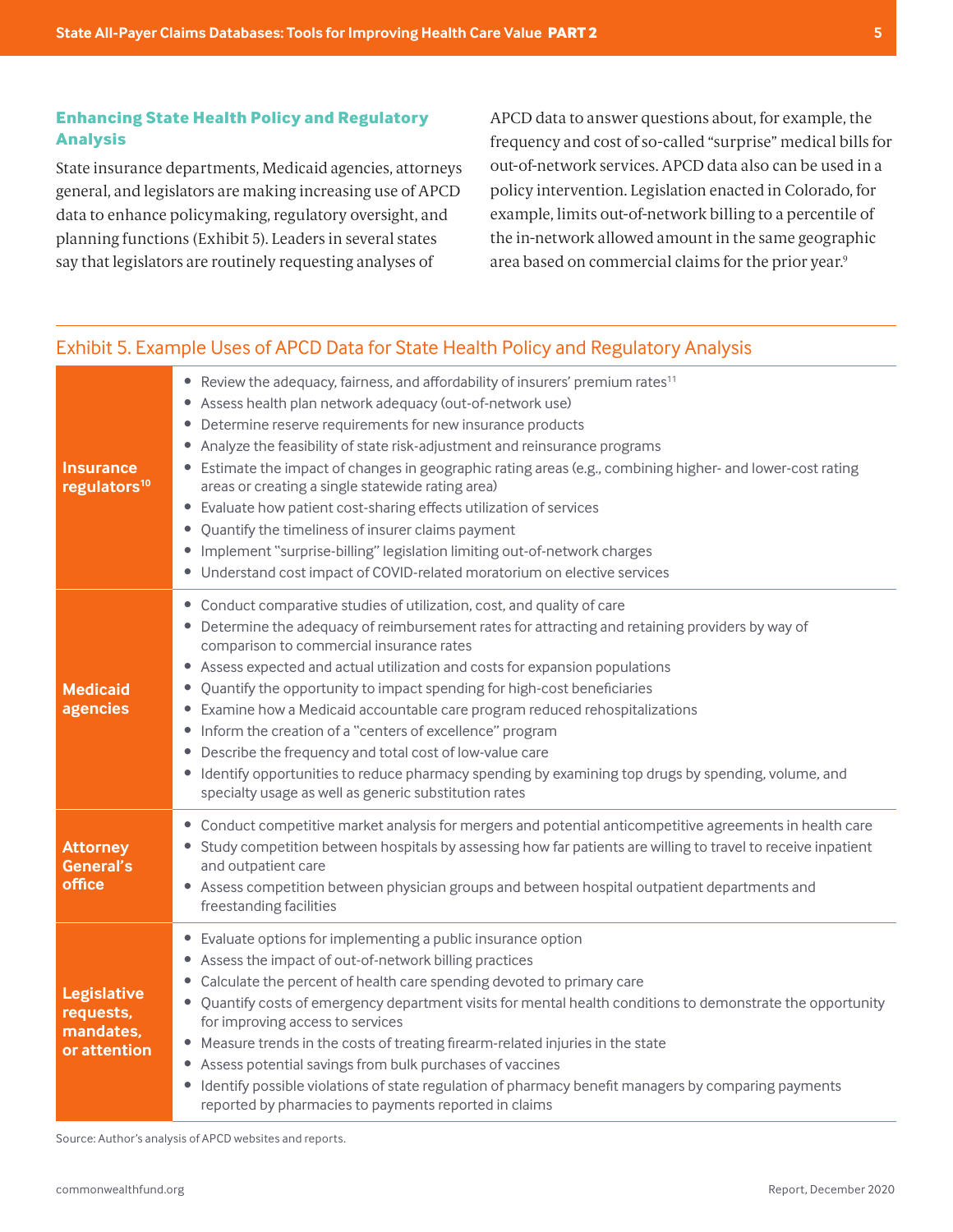## <span id="page-4-0"></span>**Enhancing State Health Policy and Regulatory Analysis**

State insurance departments, Medicaid agencies, attorneys general, and legislators are making increasing use of APCD data to enhance policymaking, regulatory oversight, and planning functions (Exhibit 5). Leaders in several states say that legislators are routinely requesting analyses of

APCD data to answer questions about, for example, the frequency and cost of so-called "surprise" medical bills for out-of-network services. APCD data also can be used in a policy intervention. Legislation enacted in Colorado, for example, limits out-of-network billing to a percentile of the in-network allowed amount in the same geographic area based on commercial claims for the prior year.[9](#page-15-0)

#### **Insurance regulators[10](#page-15-0)** • Review the adequacy, fairness, and affordability of insurers' premium rates<sup>[11](#page-15-0)</sup> • Assess health plan network adequacy (out-of-network use) • Determine reserve requirements for new insurance products • Analyze the feasibility of state risk-adjustment and reinsurance programs • Estimate the impact of changes in geographic rating areas (e.g., combining higher- and lower-cost rating areas or creating a single statewide rating area) • Evaluate how patient cost-sharing effects utilization of services • Quantify the timeliness of insurer claims payment • Implement "surprise-billing" legislation limiting out-of-network charges • Understand cost impact of COVID-related moratorium on elective services **Medicaid agencies** • Conduct comparative studies of utilization, cost, and quality of care • Determine the adequacy of reimbursement rates for attracting and retaining providers by way of comparison to commercial insurance rates • Assess expected and actual utilization and costs for expansion populations • Quantify the opportunity to impact spending for high-cost beneficiaries • Examine how a Medicaid accountable care program reduced rehospitalizations • Inform the creation of a "centers of excellence" program • Describe the frequency and total cost of low-value care • Identify opportunities to reduce pharmacy spending by examining top drugs by spending, volume, and specialty usage as well as generic substitution rates **Attorney General's office** • Conduct competitive market analysis for mergers and potential anticompetitive agreements in health care • Study competition between hospitals by assessing how far patients are willing to travel to receive inpatient and outpatient care • Assess competition between physician groups and between hospital outpatient departments and freestanding facilities **Legislative requests, mandates, or attention** • Evaluate options for implementing a public insurance option • Assess the impact of out-of-network billing practices • Calculate the percent of health care spending devoted to primary care • Quantify costs of emergency department visits for mental health conditions to demonstrate the opportunity for improving access to services • Measure trends in the costs of treating firearm-related injuries in the state • Assess potential savings from bulk purchases of vaccines • Identify possible violations of state regulation of pharmacy benefit managers by comparing payments reported by pharmacies to payments reported in claims

Exhibit 5. Example Uses of APCD Data for State Health Policy and Regulatory Analysis

Source: Author's analysis of APCD websites and reports.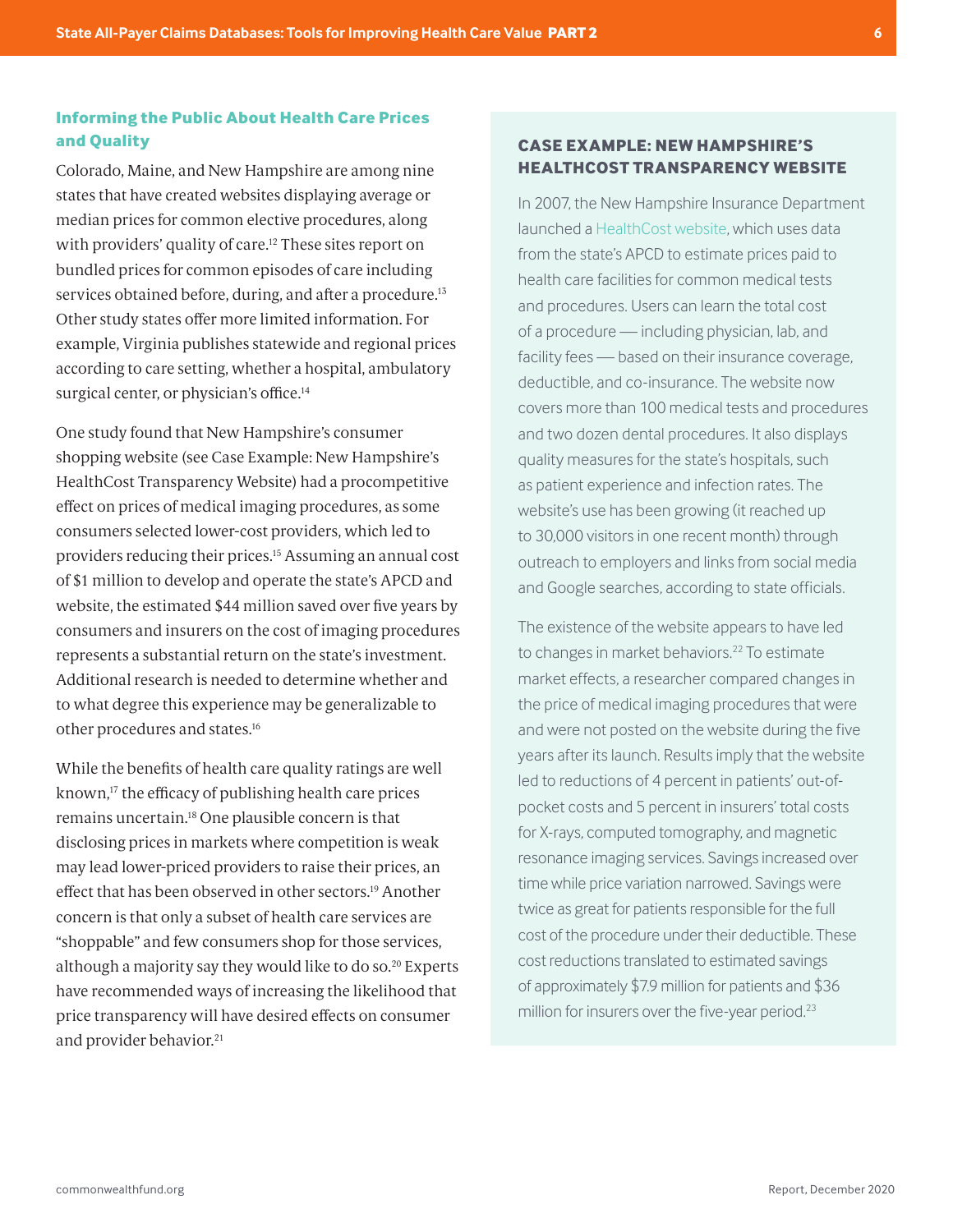## <span id="page-5-0"></span>**Informing the Public About Health Care Prices and Quality**

Colorado, Maine, and New Hampshire are among nine states that have created websites displaying average or median prices for common elective procedures, along with providers' quality of care.<sup>12</sup> These sites report on bundled prices for common episodes of care including services obtained before, during, and after a procedure.<sup>13</sup> Other study states offer more limited information. For example, Virginia publishes statewide and regional prices according to care setting, whether a hospital, ambulatory surgical center, or physician's office.<sup>14</sup>

One study found that New Hampshire's consumer shopping website (see Case Example: New Hampshire's HealthCost Transparency Website) had a procompetitive effect on prices of medical imaging procedures, as some consumers selected lower-cost providers, which led to providers reducing their prices[.15](#page-16-0) Assuming an annual cost of \$1 million to develop and operate the state's APCD and website, the estimated \$44 million saved over five years by consumers and insurers on the cost of imaging procedures represents a substantial return on the state's investment. Additional research is needed to determine whether and to what degree this experience may be generalizable to other procedures and states[.16](#page-16-0)

While the benefits of health care quality ratings are well known[,17](#page-16-0) the efficacy of publishing health care prices remains uncertain[.18](#page-16-0) One plausible concern is that disclosing prices in markets where competition is weak may lead lower-priced providers to raise their prices, an effect that has been observed in other sectors[.19](#page-16-0) Another concern is that only a subset of health care services are "shoppable" and few consumers shop for those services, although a majority say they would like to do so.<sup>20</sup> Experts have recommended ways of increasing the likelihood that price transparency will have desired effects on consumer and provider behavior.<sup>[21](#page-16-0)</sup>

#### **CASE EXAMPLE: NEW HAMPSHIRE'S HEALTHCOST TRANSPARENCY WEBSITE**

In 2007, the New Hampshire Insurance Department launched a [HealthCost website](https://nhhealthcost.nh.gov/), which uses data from the state's APCD to estimate prices paid to health care facilities for common medical tests and procedures. Users can learn the total cost of a procedure — including physician, lab, and facility fees — based on their insurance coverage, deductible, and co-insurance. The website now covers more than 100 medical tests and procedures and two dozen dental procedures. It also displays quality measures for the state's hospitals, such as patient experience and infection rates. The website's use has been growing (it reached up to 30,000 visitors in one recent month) through outreach to employers and links from social media and Google searches, according to state officials.

The existence of the website appears to have led to changes in market behaviors.<sup>[22](#page-16-0)</sup> To estimate market effects, a researcher compared changes in the price of medical imaging procedures that were and were not posted on the website during the five years after its launch. Results imply that the website led to reductions of 4 percent in patients' out-ofpocket costs and 5 percent in insurers' total costs for X-rays, computed tomography, and magnetic resonance imaging services. Savings increased over time while price variation narrowed. Savings were twice as great for patients responsible for the full cost of the procedure under their deductible. These cost reductions translated to estimated savings of approximately \$7.9 million for patients and \$36 million for insurers over the five-year period.<sup>23</sup>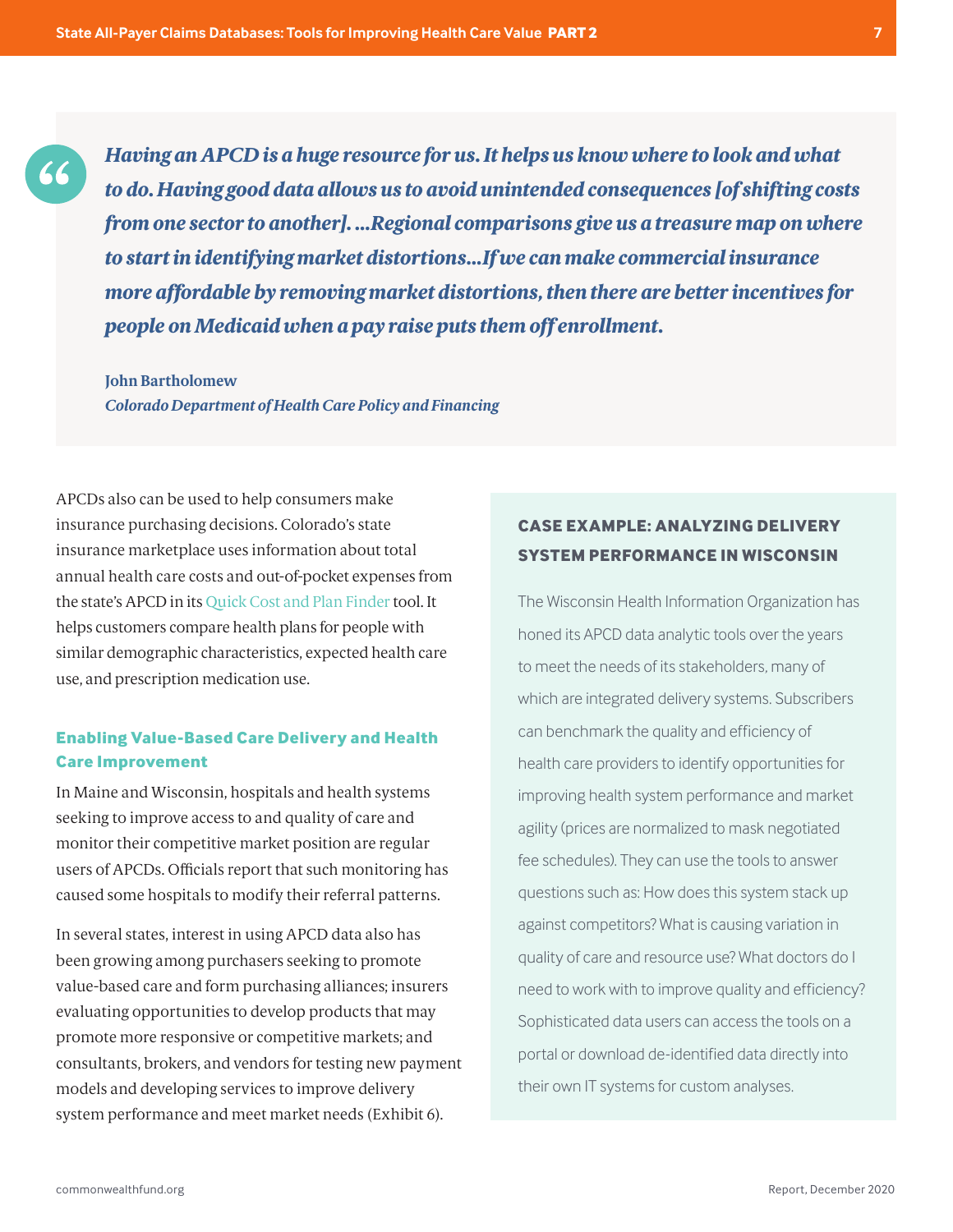*Having an APCD is a huge resource for us. It helps us know where to look and what to do. Having good data allows us to avoid unintended consequences [of shifting costs from one sector to another]. …Regional comparisons give us a treasure map on where to start in identifying market distortions…If we can make commercial insurance more affordable by removing market distortions, then there are better incentives for people on Medicaid when a pay raise puts them off enrollment.*

#### **John Bartholomew**

66

*Colorado Department of Health Care Policy and Financing*

APCDs also can be used to help consumers make insurance purchasing decisions. Colorado's state insurance marketplace uses information about total annual health care costs and out-of-pocket expenses from the state's APCD in its Quic[k Cost and Plan Finder](https://planfinder.connectforhealthco.com/home) tool. It helps customers compare health plans for people with similar demographic characteristics, expected health care use, and prescription medication use.

## **Enabling Value-Based Care Delivery and Health Care Improvement**

In Maine and Wisconsin, hospitals and health systems seeking to improve access to and quality of care and monitor their competitive market position are regular users of APCDs. Officials report that such monitoring has caused some hospitals to modify their referral patterns.

In several states, interest in using APCD data also has been growing among purchasers seeking to promote value-based care and form purchasing alliances; insurers evaluating opportunities to develop products that may promote more responsive or competitive markets; and consultants, brokers, and vendors for testing new payment models and developing services to improve delivery system performance and meet market needs (Exhibit 6).

## **CASE EXAMPLE: ANALYZING DELIVERY SYSTEM PERFORMANCE IN WISCONSIN**

The Wisconsin Health Information Organization has honed its APCD data analytic tools over the years to meet the needs of its stakeholders, many of which are integrated delivery systems. Subscribers can benchmark the quality and efficiency of health care providers to identify opportunities for improving health system performance and market agility (prices are normalized to mask negotiated fee schedules). They can use the tools to answer questions such as: How does this system stack up against competitors? What is causing variation in quality of care and resource use? What doctors do I need to work with to improve quality and efficiency? Sophisticated data users can access the tools on a portal or download de-identified data directly into their own IT systems for custom analyses.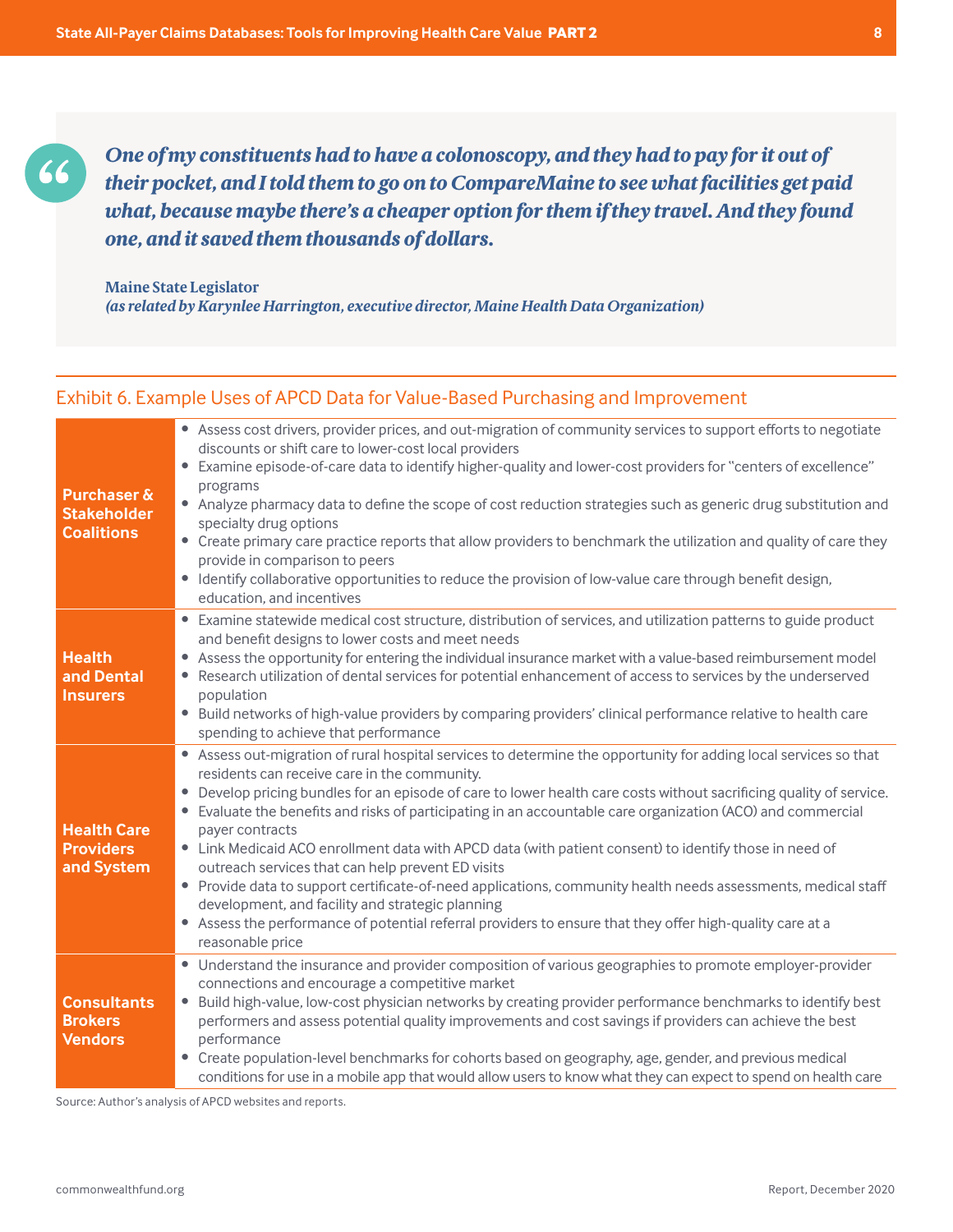*One of my constituents had to have a colonoscopy, and they had to pay for it out of their pocket, and I told them to go on to CompareMaine to see what facilities get paid what, because maybe there's a cheaper option for them if they travel. And they found one, and it saved them thousands of dollars.*

**Maine State Legislator** *(as related by Karynlee Harrington, executive director, Maine Health Data Organization)*

## Exhibit 6. Example Uses of APCD Data for Value-Based Purchasing and Improvement

| <b>Purchaser &amp;</b><br><b>Stakeholder</b><br><b>Coalitions</b> | • Assess cost drivers, provider prices, and out-migration of community services to support efforts to negotiate<br>discounts or shift care to lower-cost local providers<br>Examine episode-of-care data to identify higher-quality and lower-cost providers for "centers of excellence"<br>programs<br>• Analyze pharmacy data to define the scope of cost reduction strategies such as generic drug substitution and<br>specialty drug options<br>• Create primary care practice reports that allow providers to benchmark the utilization and quality of care they<br>provide in comparison to peers<br>Identify collaborative opportunities to reduce the provision of low-value care through benefit design,<br>$\bullet$<br>education, and incentives                                                                                                                                     |
|-------------------------------------------------------------------|-------------------------------------------------------------------------------------------------------------------------------------------------------------------------------------------------------------------------------------------------------------------------------------------------------------------------------------------------------------------------------------------------------------------------------------------------------------------------------------------------------------------------------------------------------------------------------------------------------------------------------------------------------------------------------------------------------------------------------------------------------------------------------------------------------------------------------------------------------------------------------------------------|
| <b>Health</b><br>and Dental<br><b>Insurers</b>                    | Examine statewide medical cost structure, distribution of services, and utilization patterns to guide product<br>$\bullet$<br>and benefit designs to lower costs and meet needs<br>Assess the opportunity for entering the individual insurance market with a value-based reimbursement model<br>$\bullet$<br>Research utilization of dental services for potential enhancement of access to services by the underserved<br>۰<br>population<br>Build networks of high-value providers by comparing providers' clinical performance relative to health care<br>spending to achieve that performance                                                                                                                                                                                                                                                                                              |
| <b>Health Care</b><br><b>Providers</b><br>and System              | • Assess out-migration of rural hospital services to determine the opportunity for adding local services so that<br>residents can receive care in the community.<br>Develop pricing bundles for an episode of care to lower health care costs without sacrificing quality of service.<br>Evaluate the benefits and risks of participating in an accountable care organization (ACO) and commercial<br>۰<br>payer contracts<br>• Link Medicaid ACO enrollment data with APCD data (with patient consent) to identify those in need of<br>outreach services that can help prevent ED visits<br>• Provide data to support certificate-of-need applications, community health needs assessments, medical staff<br>development, and facility and strategic planning<br>• Assess the performance of potential referral providers to ensure that they offer high-quality care at a<br>reasonable price |
| <b>Consultants</b><br><b>Brokers</b><br><b>Vendors</b>            | • Understand the insurance and provider composition of various geographies to promote employer-provider<br>connections and encourage a competitive market<br>Build high-value, low-cost physician networks by creating provider performance benchmarks to identify best<br>$\bullet$<br>performers and assess potential quality improvements and cost savings if providers can achieve the best<br>performance<br>Create population-level benchmarks for cohorts based on geography, age, gender, and previous medical<br>conditions for use in a mobile app that would allow users to know what they can expect to spend on health care                                                                                                                                                                                                                                                        |

Source: Author's analysis of APCD websites and reports.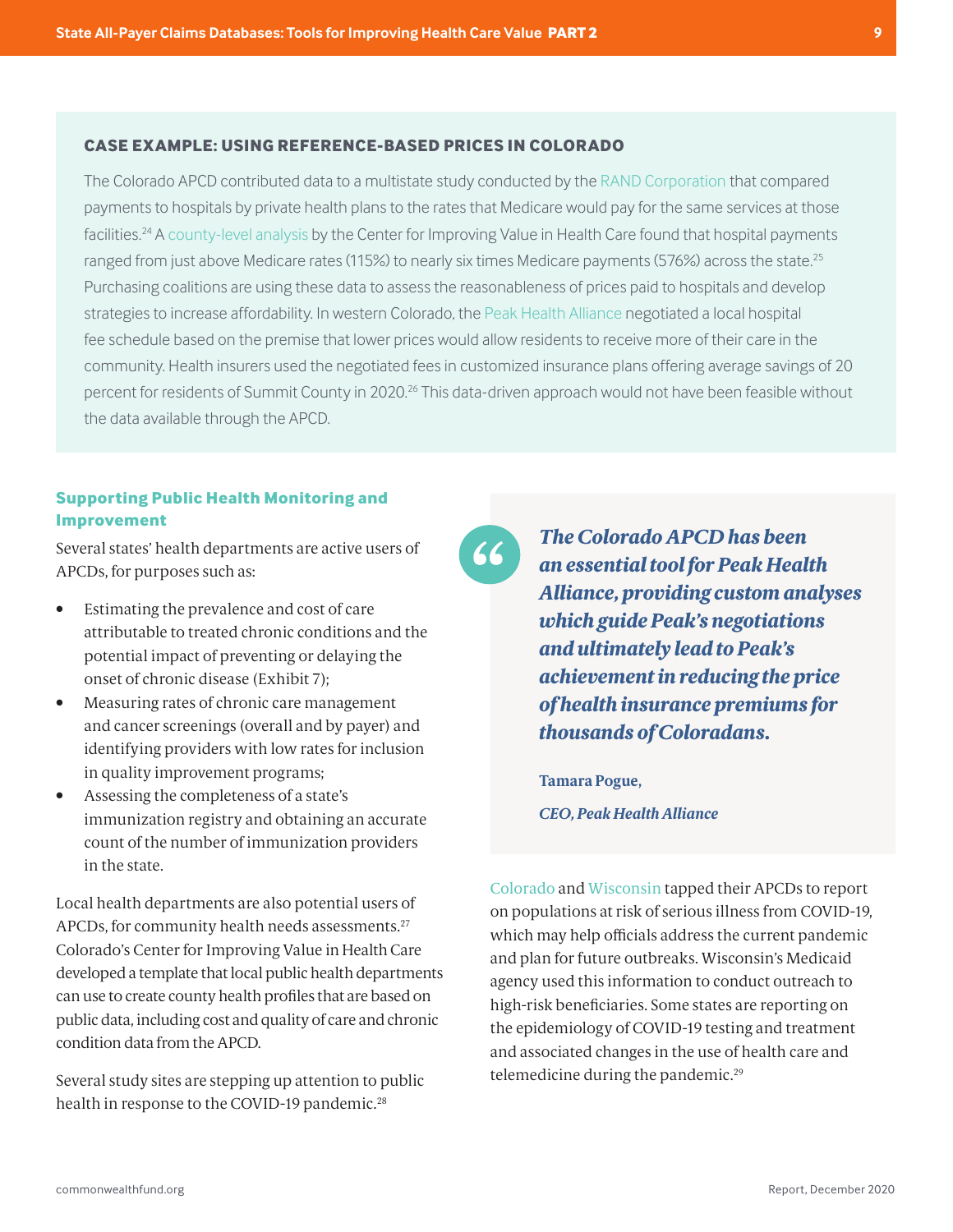#### <span id="page-8-0"></span>**CASE EXAMPLE: USING REFERENCE-BASED PRICES IN COLORADO**

The Colorado APCD contributed data to a multistate study conducted by the [RAND Corporation](https://www.rand.org/pubs/research_reports/RR3033.html) that compared payments to hospitals by private health plans to the rates that Medicare would pay for the same services at those facilities.<sup>24</sup> A [county-level analysis](https://www.civhc.org/get-data/public-data/focus-areas/reference-pricing/) by the Center for Improving Value in Health Care found that hospital payments ranged from just above Medicare rates (115%) to nearly six times Medicare payments (576%) across the state.<sup>[25](#page-17-0)</sup> Purchasing coalitions are using these data to assess the reasonableness of prices paid to hospitals and develop strategies to increase affordability. In western Colorado, the [Peak Health Alliance](https://peakhealthalliance.org/) negotiated a local hospital fee schedule based on the premise that lower prices would allow residents to receive more of their care in the community. Health insurers used the negotiated fees in customized insurance plans offering average savings of 20 percent for residents of Summit County in 2020.<sup>26</sup> This data-driven approach would not have been feasible without the data available through the APCD.

#### **Supporting Public Health Monitoring and Improvement**

Several states' health departments are active users of APCDs, for purposes such as:

- Estimating the prevalence and cost of care attributable to treated chronic conditions and the potential impact of preventing or delaying the onset of chronic disease (Exhibit 7);
- Measuring rates of chronic care management and cancer screenings (overall and by payer) and identifying providers with low rates for inclusion in quality improvement programs;
- Assessing the completeness of a state's immunization registry and obtaining an accurate count of the number of immunization providers in the state.

Local health departments are also potential users of APCDs, for community health needs assessments.<sup>27</sup> Colorado's Center for Improving Value in Health Care developed a template that local public health departments can use to create county health profiles that are based on public data, including cost and quality of care and chronic condition data from the APCD.

Several study sites are stepping up attention to public health in response to the COVID-19 pandemic.<sup>28</sup>



*The Colorado APCD has been an essential tool for Peak Health Alliance, providing custom analyses which guide Peak's negotiations and ultimately lead to Peak's achievement in reducing the price of health insurance premiums for thousands of Coloradans.*

**Tamara Pogue,** *CEO, Peak Health Alliance*

[Colorado](https://www.civhc.org/covid-19/populations-at-risk-for-serious-illness-from-covid-19/) and [Wisconsin](https://whio.org/covid-19-in-wisconsin/) tapped their APCDs to report on populations at risk of serious illness from COVID-19, which may help officials address the current pandemic and plan for future outbreaks. Wisconsin's Medicaid agency used this information to conduct outreach to high-risk beneficiaries. Some states are reporting on the epidemiology of COVID-19 testing and treatment and associated changes in the use of health care and telemedicine during the pandemic[.29](#page-17-0)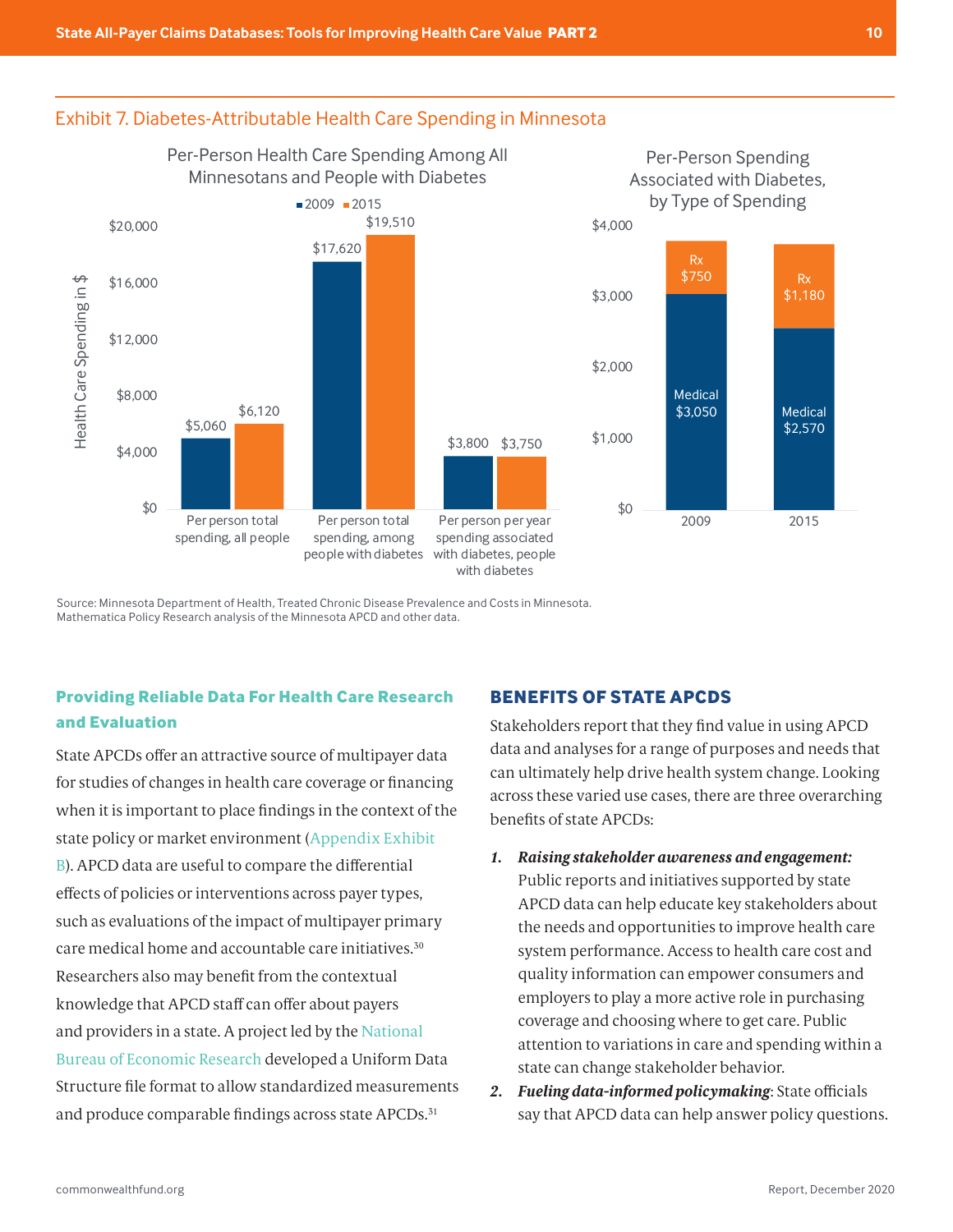#### <span id="page-9-0"></span>Exhibit 7. Diabetes-Attributable Health Care Spending in Minnesota



Mathematica Policy Research analysis of the Minnesota APCD and other data. Source: Minnesota Department of Health, Treated Chronic Disease Prevalence and Costs in Minnesota.

## **Providing Reliable Data For Health Care Research and Evaluation**

State APCDs offer an attractive source of multipayer data for studies of changes in health care coverage or financing when it is important to place findings in the context of the state policy or market environment ([Appendix Exhibit](#page-14-0)  [B](#page-14-0)). APCD data are useful to compare the differential effects of policies or interventions across payer types, such as evaluations of the impact of multipayer primary care medical home and accountable care initiatives.[30](#page-17-0) Researchers also may benefit from the contextual knowledge that APCD staff can offer about payers and providers in a state. A project led by the [National](https://www.ahrq.gov/chsp/about-chsp/centers/nber.html)  [Bureau of Economic Research](https://www.ahrq.gov/chsp/about-chsp/centers/nber.html) developed a Uniform Data Structure file format to allow standardized measurements and produce comparable findings across state APCDs.<sup>31</sup>

#### **BENEFITS OF STATE APCDS**

Stakeholders report that they find value in using APCD data and analyses for a range of purposes and needs that can ultimately help drive health system change. Looking across these varied use cases, there are three overarching benefits of state APCDs:

- *1. Raising stakeholder awareness and engagement:* Public reports and initiatives supported by state APCD data can help educate key stakeholders about the needs and opportunities to improve health care system performance. Access to health care cost and quality information can empower consumers and employers to play a more active role in purchasing coverage and choosing where to get care. Public attention to variations in care and spending within a state can change stakeholder behavior.
- *2. Fueling data-informed policymaking*: State officials say that APCD data can help answer policy questions.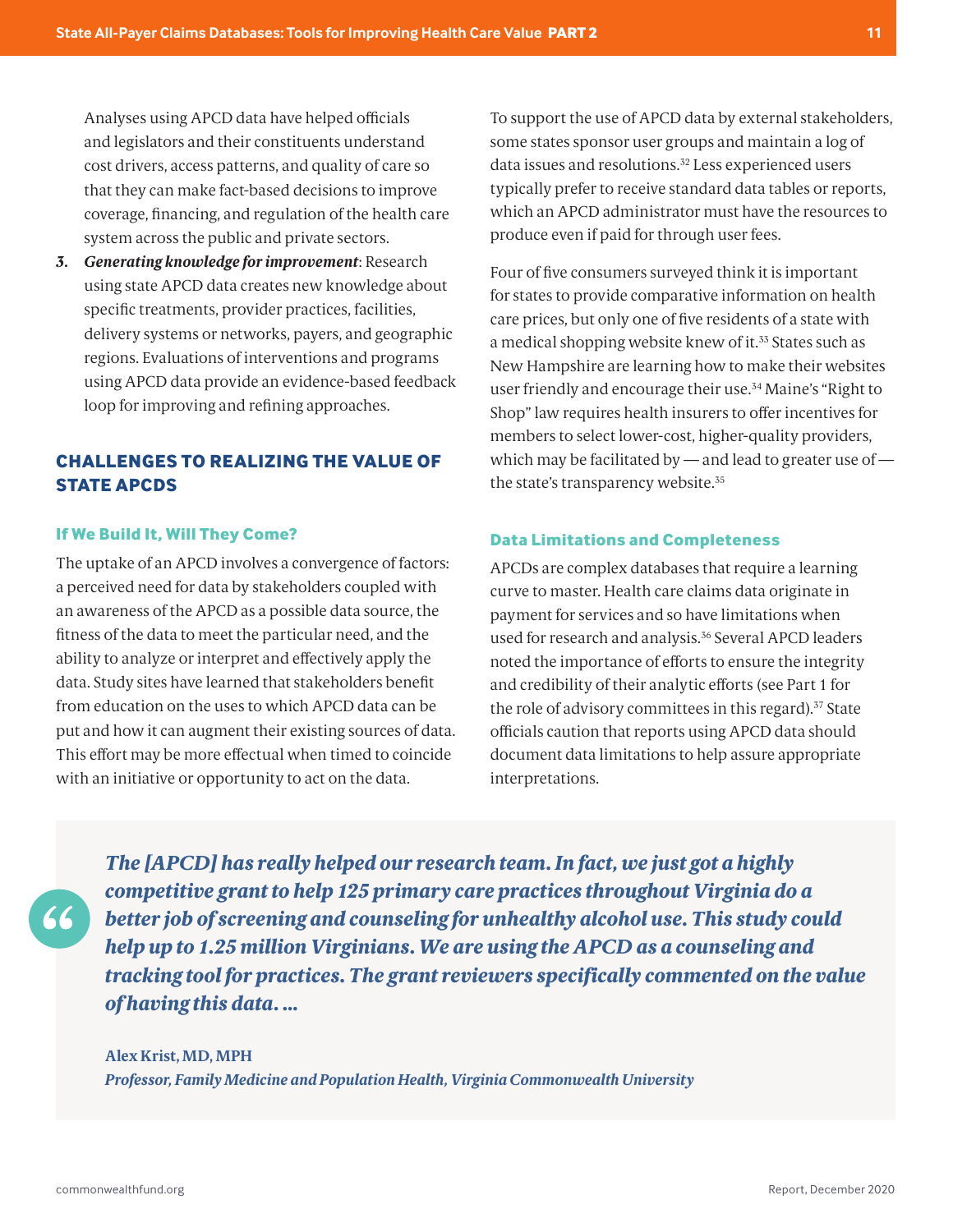<span id="page-10-0"></span>Analyses using APCD data have helped officials and legislators and their constituents understand cost drivers, access patterns, and quality of care so that they can make fact-based decisions to improve coverage, financing, and regulation of the health care system across the public and private sectors.

*3. Generating knowledge for improvement*: Research using state APCD data creates new knowledge about specific treatments, provider practices, facilities, delivery systems or networks, payers, and geographic regions. Evaluations of interventions and programs using APCD data provide an evidence-based feedback loop for improving and refining approaches.

## **CHALLENGES TO REALIZING THE VALUE OF STATE APCDS**

#### **If We Build It, Will They Come?**

The uptake of an APCD involves a convergence of factors: a perceived need for data by stakeholders coupled with an awareness of the APCD as a possible data source, the fitness of the data to meet the particular need, and the ability to analyze or interpret and effectively apply the data. Study sites have learned that stakeholders benefit from education on the uses to which APCD data can be put and how it can augment their existing sources of data. This effort may be more effectual when timed to coincide with an initiative or opportunity to act on the data.

To support the use of APCD data by external stakeholders, some states sponsor user groups and maintain a log of data issues and resolutions.<sup>[32](#page-17-0)</sup> Less experienced users typically prefer to receive standard data tables or reports, which an APCD administrator must have the resources to produce even if paid for through user fees.

Four of five consumers surveyed think it is important for states to provide comparative information on health care prices, but only one of five residents of a state with a medical shopping website knew of it.<sup>[33](#page-17-0)</sup> States such as New Hampshire are learning how to make their websites user friendly and encourage their use.<sup>34</sup> Maine's "Right to Shop" law requires health insurers to offer incentives for members to select lower-cost, higher-quality providers, which may be facilitated by — and lead to greater use of the state's transparency website.[35](#page-17-0)

#### **Data Limitations and Completeness**

APCDs are complex databases that require a learning curve to master. Health care claims data originate in payment for services and so have limitations when used for research and analysis.[36](#page-17-0) Several APCD leaders noted the importance of efforts to ensure the integrity and credibility of their analytic efforts (see Part 1 for the role of advisory committees in this regard).<sup>[37](#page-17-0)</sup> State officials caution that reports using APCD data should document data limitations to help assure appropriate interpretations.

*The [APCD] has really helped our research team. In fact, we just got a highly competitive grant to help 125 primary care practices throughout Virginia do a better job of screening and counseling for unhealthy alcohol use. This study could help up to 1.25 million Virginians. We are using the APCD as a counseling and tracking tool for practices. The grant reviewers specifically commented on the value of having this data. …*

#### **Alex Krist, MD, MPH** *Professor, Family Medicine and Population Health, Virginia Commonwealth University*

 $66$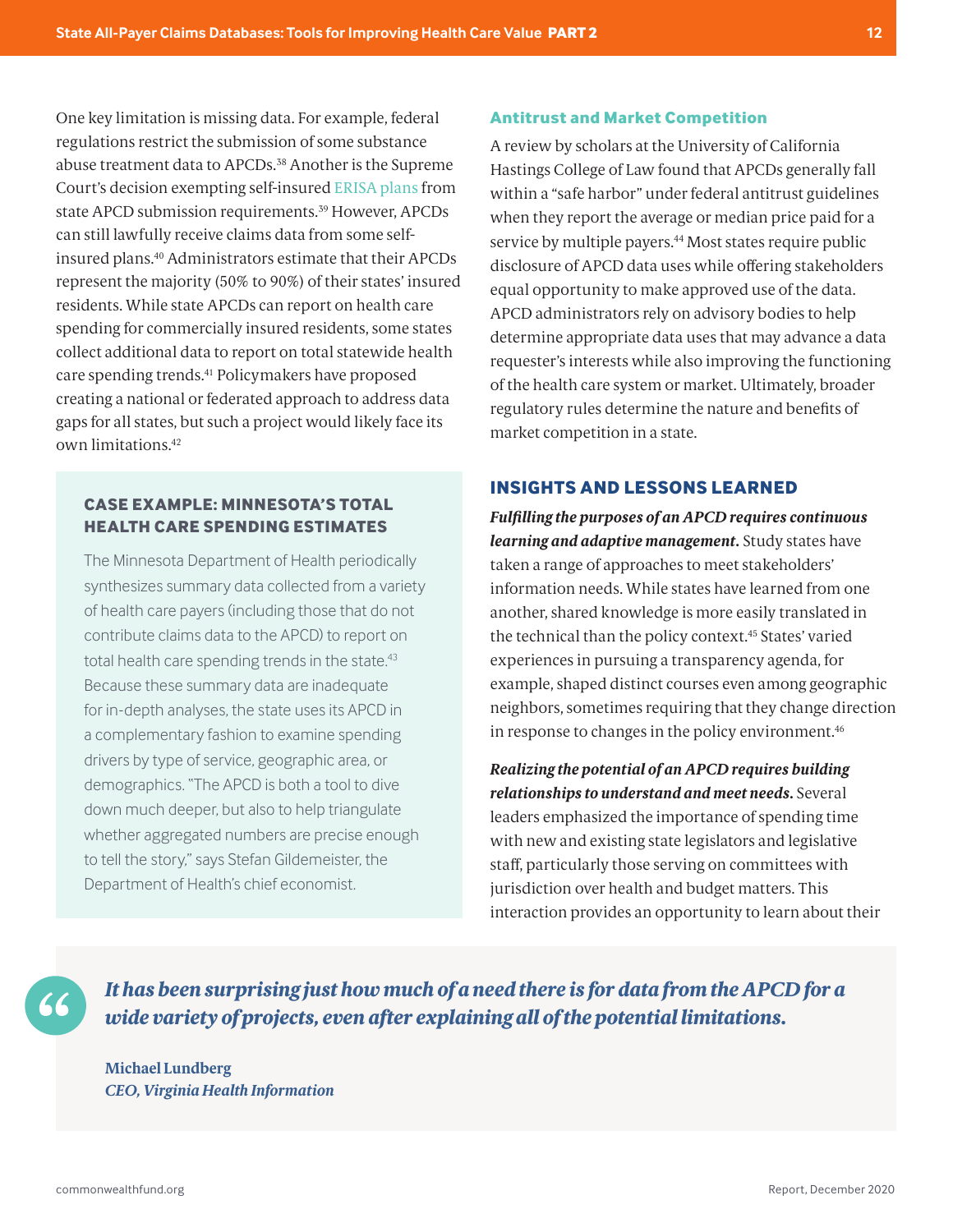<span id="page-11-0"></span>One key limitation is missing data. For example, federal regulations restrict the submission of some substance abuse treatment data to APCDs.<sup>[38](#page-17-0)</sup> Another is the Supreme Court's decision exempting self-insured [ERISA plans](https://www.dol.gov/general/topic/health-plans/erisa) from state APCD submission requirements.<sup>[39](#page-17-0)</sup> However, APCDs can still lawfully receive claims data from some selfinsured plans[.40](#page-18-0) Administrators estimate that their APCDs represent the majority (50% to 90%) of their states' insured residents. While state APCDs can report on health care spending for commercially insured residents, some states collect additional data to report on total statewide health care spending trends[.41](#page-18-0) Policymakers have proposed creating a national or federated approach to address data gaps for all states, but such a project would likely face its own limitations[.42](#page-18-0)

#### **CASE EXAMPLE: MINNESOTA'S TOTAL HEALTH CARE SPENDING ESTIMATES**

The Minnesota Department of Health periodically synthesizes summary data collected from a variety of health care payers (including those that do not contribute claims data to the APCD) to report on total health care spending trends in the state.<sup>43</sup> Because these summary data are inadequate for in-depth analyses, the state uses its APCD in a complementary fashion to examine spending drivers by type of service, geographic area, or demographics. "The APCD is both a tool to dive down much deeper, but also to help triangulate whether aggregated numbers are precise enough to tell the story," says Stefan Gildemeister, the Department of Health's chief economist.

#### **Antitrust and Market Competition**

A review by scholars at the University of California Hastings College of Law found that APCDs generally fall within a "safe harbor" under federal antitrust guidelines when they report the average or median price paid for a service by multiple payers.<sup>44</sup> Most states require public disclosure of APCD data uses while offering stakeholders equal opportunity to make approved use of the data. APCD administrators rely on advisory bodies to help determine appropriate data uses that may advance a data requester's interests while also improving the functioning of the health care system or market. Ultimately, broader regulatory rules determine the nature and benefits of market competition in a state.

#### **INSIGHTS AND LESSONS LEARNED**

*Fulfilling the purposes of an APCD requires continuous learning and adaptive management.* Study states have taken a range of approaches to meet stakeholders' information needs. While states have learned from one another, shared knowledge is more easily translated in the technical than the policy context.[45](#page-18-0) States' varied experiences in pursuing a transparency agenda, for example, shaped distinct courses even among geographic neighbors, sometimes requiring that they change direction in response to changes in the policy environment.<sup>46</sup>

*Realizing the potential of an APCD requires building relationships to understand and meet needs.* Several leaders emphasized the importance of spending time with new and existing state legislators and legislative staff, particularly those serving on committees with jurisdiction over health and budget matters. This interaction provides an opportunity to learn about their

*It has been surprising just how much of a need there is for data from the APCD for a wide variety of projects, even after explaining all of the potential limitations.*

**Michael Lundberg** *CEO, Virginia Health Information*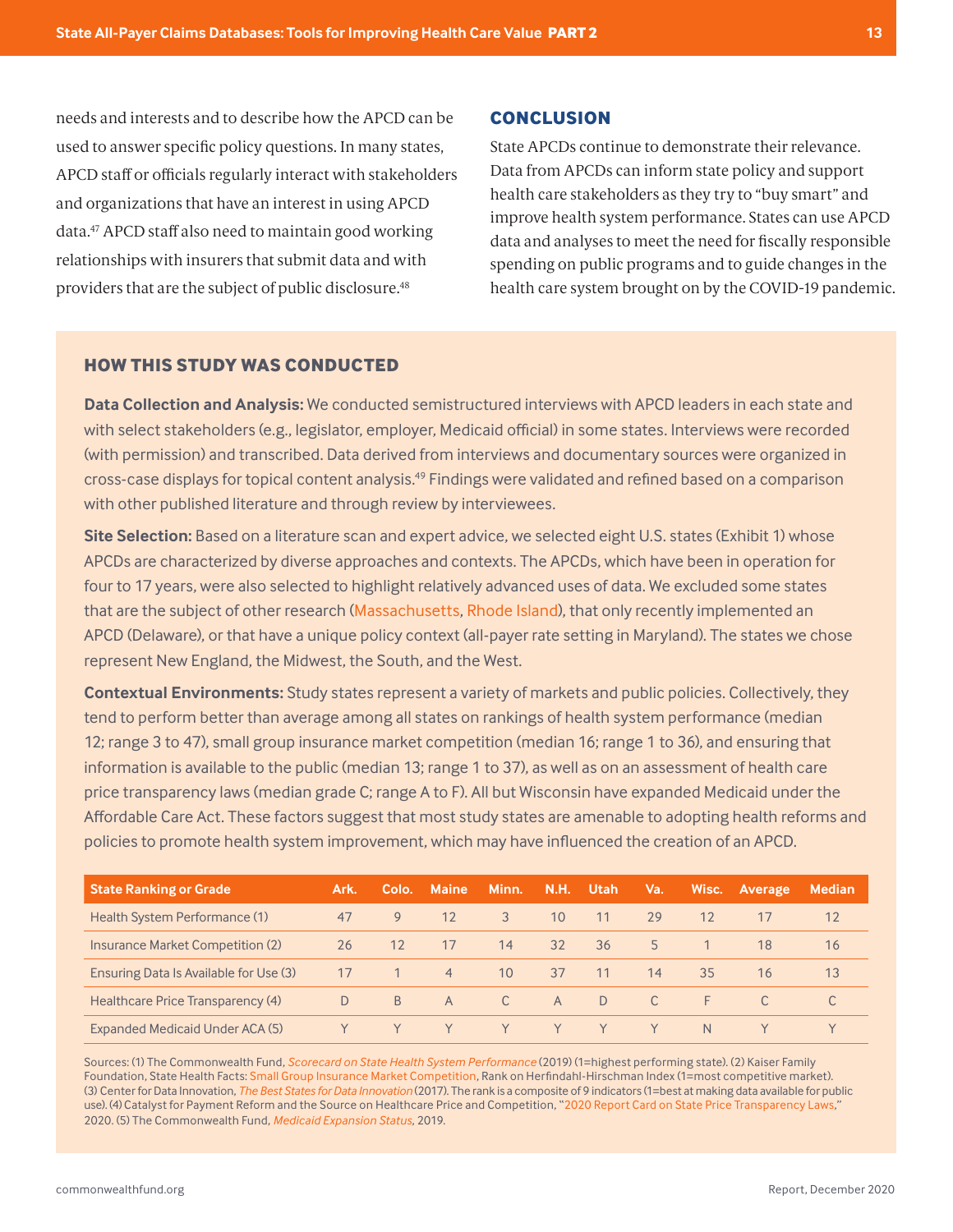<span id="page-12-0"></span>needs and interests and to describe how the APCD can be used to answer specific policy questions. In many states, APCD staff or officials regularly interact with stakeholders and organizations that have an interest in using APCD data[.47](#page-18-0) APCD staff also need to maintain good working relationships with insurers that submit data and with providers that are the subject of public disclosure.[48](#page-18-0)

#### **CONCLUSION**

State APCDs continue to demonstrate their relevance. Data from APCDs can inform state policy and support health care stakeholders as they try to "buy smart" and improve health system performance. States can use APCD data and analyses to meet the need for fiscally responsible spending on public programs and to guide changes in the health care system brought on by the COVID-19 pandemic.

#### **HOW THIS STUDY WAS CONDUCTED**

**Data Collection and Analysis:** We conducted semistructured interviews with APCD leaders in each state and with select stakeholders (e.g., legislator, employer, Medicaid official) in some states. Interviews were recorded (with permission) and transcribed. Data derived from interviews and documentary sources were organized in cross-case displays for topical content analysis.[49](#page-18-0) Findings were validated and refined based on a comparison with other published literature and through review by interviewees.

**Site Selection:** Based on a literature scan and expert advice, we selected eight U.S. states (Exhibit 1) whose APCDs are characterized by diverse approaches and contexts. The APCDs, which have been in operation for four to 17 years, were also selected to highlight relatively advanced uses of data. We excluded some states that are the subject of other research ([Massachusetts,](https://doi.org/10.26099/myt4-2630) [Rhode Island\)](https://petersonhealthcare.org/sites/default/files/Rhode-Island-Project-Overview.pdf), that only recently implemented an APCD (Delaware), or that have a unique policy context (all-payer rate setting in Maryland). The states we chose represent New England, the Midwest, the South, and the West.

**Contextual Environments:** Study states represent a variety of markets and public policies. Collectively, they tend to perform better than average among all states on rankings of health system performance (median 12; range 3 to 47), small group insurance market competition (median 16; range 1 to 36), and ensuring that information is available to the public (median 13; range 1 to 37), as well as on an assessment of health care price transparency laws (median grade C; range A to F). All but Wisconsin have expanded Medicaid under the Affordable Care Act. These factors suggest that most study states are amenable to adopting health reforms and policies to promote health system improvement, which may have influenced the creation of an APCD.

| <b>State Ranking or Grade</b>          | Ark. | Colo.          | Maine          | Minn.           | <b>N.H.</b>     | <b>Utah</b> | Va.            | Wisc.        | Average | <b>Median</b> |
|----------------------------------------|------|----------------|----------------|-----------------|-----------------|-------------|----------------|--------------|---------|---------------|
| Health System Performance (1)          | 47   | 9              | 12             | 3               | 10 <sup>°</sup> | 11          | 29             | 12           |         | 12            |
| Insurance Market Competition (2)       | 26   | 12             | -17            | 14              | 32              | 36          | 5 <sup>7</sup> |              | 18      | 16            |
| Ensuring Data Is Available for Use (3) | 17   |                | $\overline{4}$ | 10 <sup>°</sup> | 37              | 11          | 14             | 35           | 16      | 13            |
| Healthcare Price Transparency (4)      | D.   | B <sub>7</sub> | $-$ A          | $\overline{C}$  | A               | D.          | C.             | F.           |         |               |
| Expanded Medicaid Under ACA (5)        |      |                |                | Y               | Y.              |             |                | <sup>N</sup> |         |               |

Sources: (1) The Commonwealth Fund, *[Scorecard on State Health System Performance](https://www.commonwealthfund.org/publications/fund-reports/2019/jun/2019-scorecard-state-health-system-performance-deaths-suicide)* (2019) (1=highest performing state). (2) Kaiser Family Foundation, State Health Facts: [Small Group Insurance Market Competition](https://www.kff.org/other/state-indicator/small-group-insurance-market-competition/), Rank on Herfindahl-Hirschman Index (1=most competitive market). (3) Center for Data Innovation, *[The Best States for Data Innovation](https://www.datainnovation.org/2017/07/the-best-states-for-data-innovation/)* (2017). The rank is a composite of 9 indicators (1=best at making data available for public use). (4) Catalyst for Payment Reform and the Source on Healthcare Price and Competition, "[2020 Report Card on State Price Transparency Laws](https://www.catalyze.org/about-us/cpr-in-the-news/press-release-price-transparency-report-release/)," 2020. (5) The Commonwealth Fund, *[Medicaid Expansion Status](https://datacenter.commonwealthfund.org/topics/medicaid-expansion-status)*, 2019.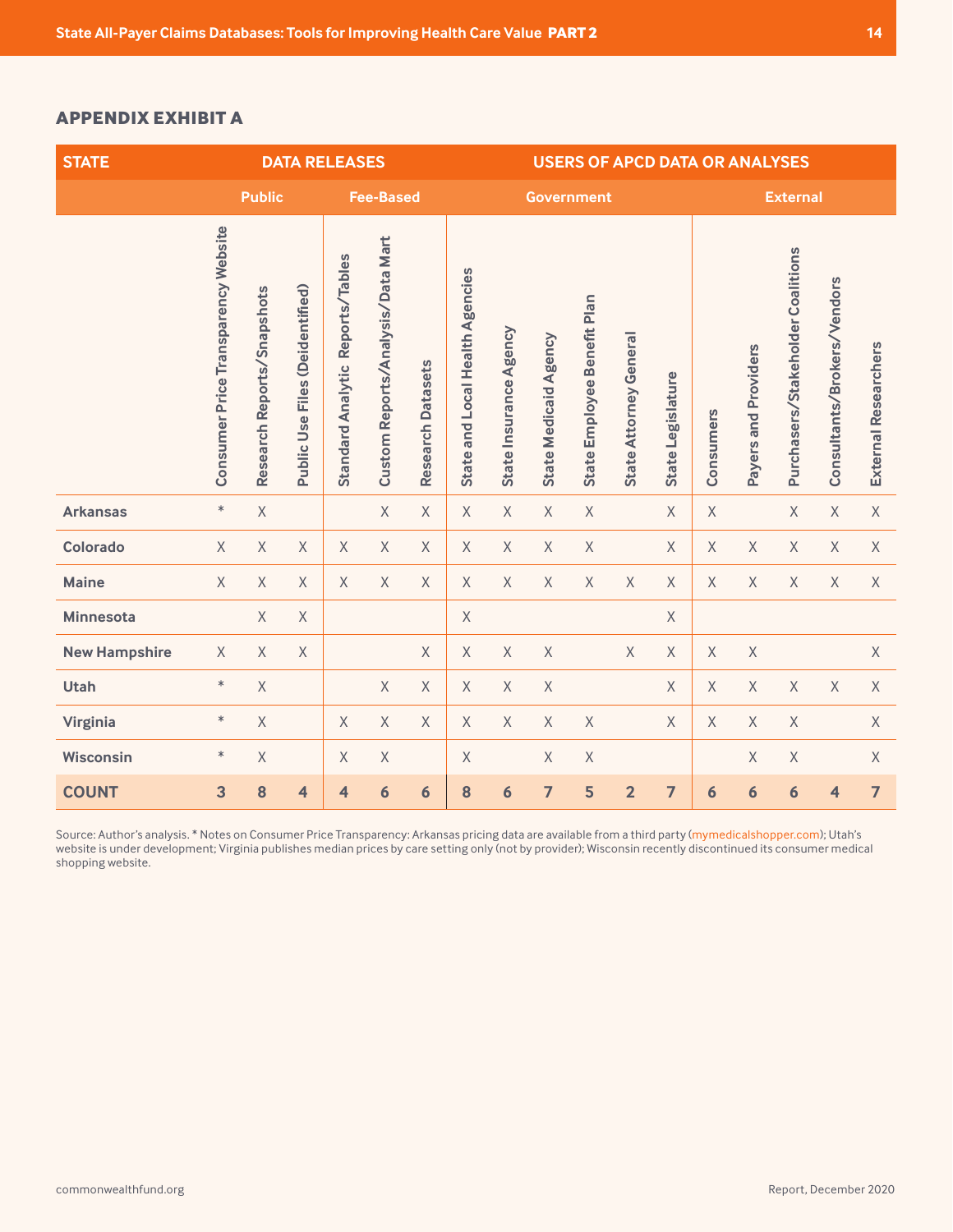#### <span id="page-13-0"></span>**APPENDIX EXHIBIT A**

| <b>STATE</b>         | <b>DATA RELEASES</b>                |                            |                                 |                                     |                                   |                             | <b>USERS OF APCD DATA OR ANALYSES</b> |                        |                              |                             |                        |                   |                 |                      |                                   |                             |                             |
|----------------------|-------------------------------------|----------------------------|---------------------------------|-------------------------------------|-----------------------------------|-----------------------------|---------------------------------------|------------------------|------------------------------|-----------------------------|------------------------|-------------------|-----------------|----------------------|-----------------------------------|-----------------------------|-----------------------------|
|                      | <b>Public</b>                       |                            |                                 | <b>Fee-Based</b>                    |                                   |                             | <b>Government</b>                     |                        |                              |                             |                        |                   | <b>External</b> |                      |                                   |                             |                             |
|                      | Consumer Price Transparency Website | Research Reports/Snapshots | Public Use Files (Deidentified) | Reports/Tables<br>Standard Analytic | Custom Reports/Analysis/Data Mart | <b>Datasets</b><br>Research | State and Local Health Agencies       | State Insurance Agency | <b>State Medicaid Agency</b> | State Employee Benefit Plan | State Attorney General | State Legislature | Consumers       | Payers and Providers | Purchasers/Stakeholder Coalitions | Consultants/Brokers/Vendors | <b>External Researchers</b> |
| <b>Arkansas</b>      | $\ast$                              | $\chi$                     |                                 |                                     | $\times$                          | X                           | $\chi$                                | X                      | X                            | X                           |                        | $\times$          | X               |                      | $\chi$                            | X                           | X                           |
| Colorado             | $\mathsf X$                         | $\mathsf X$                | X                               | $\chi$                              | X                                 | X                           | $\mathsf X$                           | X                      | $\mathsf X$                  | $\mathsf X$                 |                        | X                 | $\mathsf X$     | $\chi$               | X                                 | $\chi$                      | X                           |
| <b>Maine</b>         | $\mathsf X$                         | $\mathsf X$                | X                               | $\chi$                              | X                                 | X                           | $\mathsf X$                           | $\chi$                 | $\times$                     | $\times$                    | X                      | X                 | $\mathsf X$     | $\chi$               | X                                 | X                           | X                           |
| <b>Minnesota</b>     |                                     | $\mathsf X$                | $\mathsf X$                     |                                     |                                   |                             | $\mathsf X$                           |                        |                              |                             |                        | X                 |                 |                      |                                   |                             |                             |
| <b>New Hampshire</b> | X                                   | $\mathsf X$                | $\mathsf X$                     |                                     |                                   | X                           | $\mathsf X$                           | $\chi$                 | $\mathsf X$                  |                             | X                      | $\mathsf X$       | $\mathsf X$     | $\mathsf X$          |                                   |                             | $\chi$                      |
| Utah                 | $\ast$                              | $\chi$                     |                                 |                                     | $\chi$                            | $\mathsf{X}$                | $\chi$                                | $\chi$                 | $\mathsf X$                  |                             |                        | $\chi$            | $\chi$          | $\chi$               | $\mathsf X$                       | $\mathsf{X}$                | X                           |
| Virginia             | $\ast$                              | $\chi$                     |                                 | $\chi$                              | $\chi$                            | X                           | $\chi$                                | $\chi$                 | $\chi$                       | $\chi$                      |                        | X                 | $\chi$          | $\chi$               | $\mathsf X$                       |                             | $\chi$                      |
| <b>Wisconsin</b>     | $\ast$                              | $\mathsf X$                |                                 | $\chi$                              | $\chi$                            |                             | $\mathsf X$                           |                        | $\mathsf X$                  | $\mathsf X$                 |                        |                   |                 | $\mathsf X$          | $\mathsf X$                       |                             | X                           |
| <b>COUNT</b>         | 3                                   | 8                          | $\overline{\mathbf{4}}$         | 4                                   | 6                                 | 6                           | 8                                     | 6                      | $\overline{7}$               | 5                           | $\overline{2}$         | $\overline{7}$    | 6               | 6                    | 6                                 | $\overline{\mathbf{4}}$     | $\overline{7}$              |

Source: Author's analysis. \* Notes on Consumer Price Transparency: Arkansas pricing data are available from a third party ([mymedicalshopper.com](http://mymedicalshopper.com)); Utah's website is under development; Virginia publishes median prices by care setting only (not by provider); Wisconsin recently discontinued its consumer medical shopping website.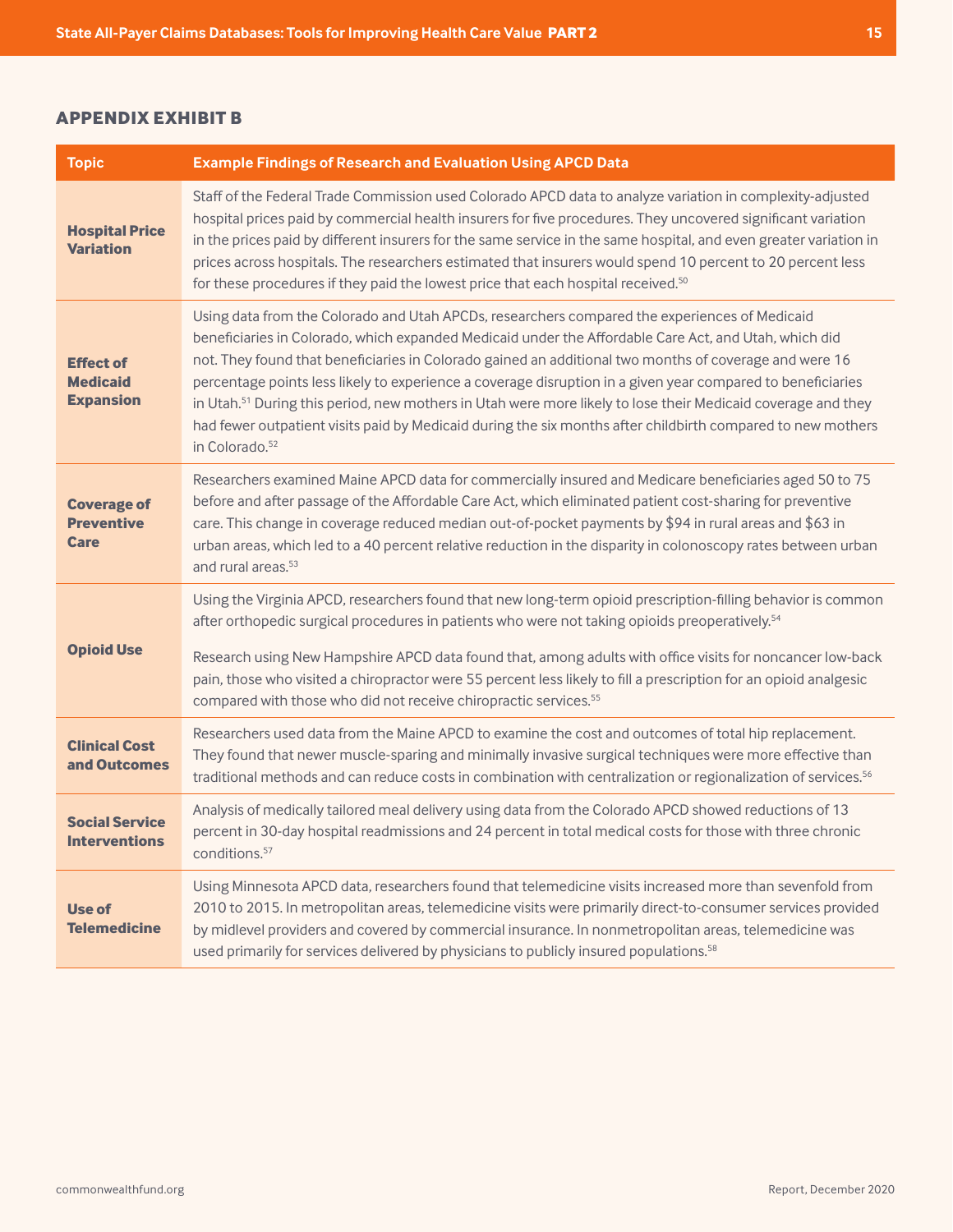#### <span id="page-14-0"></span>**APPENDIX EXHIBIT B**

| <b>Topic</b>                                            | <b>Example Findings of Research and Evaluation Using APCD Data</b>                                                                                                                                                                                                                                                                                                                                                                                                                                                                                                                                                                                                                                       |
|---------------------------------------------------------|----------------------------------------------------------------------------------------------------------------------------------------------------------------------------------------------------------------------------------------------------------------------------------------------------------------------------------------------------------------------------------------------------------------------------------------------------------------------------------------------------------------------------------------------------------------------------------------------------------------------------------------------------------------------------------------------------------|
| <b>Hospital Price</b><br><b>Variation</b>               | Staff of the Federal Trade Commission used Colorado APCD data to analyze variation in complexity-adjusted<br>hospital prices paid by commercial health insurers for five procedures. They uncovered significant variation<br>in the prices paid by different insurers for the same service in the same hospital, and even greater variation in<br>prices across hospitals. The researchers estimated that insurers would spend 10 percent to 20 percent less<br>for these procedures if they paid the lowest price that each hospital received. <sup>50</sup>                                                                                                                                            |
| <b>Effect of</b><br><b>Medicaid</b><br><b>Expansion</b> | Using data from the Colorado and Utah APCDs, researchers compared the experiences of Medicaid<br>beneficiaries in Colorado, which expanded Medicaid under the Affordable Care Act, and Utah, which did<br>not. They found that beneficiaries in Colorado gained an additional two months of coverage and were 16<br>percentage points less likely to experience a coverage disruption in a given year compared to beneficiaries<br>in Utah. <sup>51</sup> During this period, new mothers in Utah were more likely to lose their Medicaid coverage and they<br>had fewer outpatient visits paid by Medicaid during the six months after childbirth compared to new mothers<br>in Colorado. <sup>52</sup> |
| <b>Coverage of</b><br><b>Preventive</b><br><b>Care</b>  | Researchers examined Maine APCD data for commercially insured and Medicare beneficiaries aged 50 to 75<br>before and after passage of the Affordable Care Act, which eliminated patient cost-sharing for preventive<br>care. This change in coverage reduced median out-of-pocket payments by \$94 in rural areas and \$63 in<br>urban areas, which led to a 40 percent relative reduction in the disparity in colonoscopy rates between urban<br>and rural areas. <sup>53</sup>                                                                                                                                                                                                                         |
| <b>Opioid Use</b>                                       | Using the Virginia APCD, researchers found that new long-term opioid prescription-filling behavior is common<br>after orthopedic surgical procedures in patients who were not taking opioids preoperatively. <sup>54</sup><br>Research using New Hampshire APCD data found that, among adults with office visits for noncancer low-back<br>pain, those who visited a chiropractor were 55 percent less likely to fill a prescription for an opioid analgesic<br>compared with those who did not receive chiropractic services. <sup>55</sup>                                                                                                                                                             |
| <b>Clinical Cost</b><br>and Outcomes                    | Researchers used data from the Maine APCD to examine the cost and outcomes of total hip replacement.<br>They found that newer muscle-sparing and minimally invasive surgical techniques were more effective than<br>traditional methods and can reduce costs in combination with centralization or regionalization of services. <sup>56</sup>                                                                                                                                                                                                                                                                                                                                                            |
| <b>Social Service</b><br><b>Interventions</b>           | Analysis of medically tailored meal delivery using data from the Colorado APCD showed reductions of 13<br>percent in 30-day hospital readmissions and 24 percent in total medical costs for those with three chronic<br>conditions. <sup>57</sup>                                                                                                                                                                                                                                                                                                                                                                                                                                                        |
| Use of<br><b>Telemedicine</b>                           | Using Minnesota APCD data, researchers found that telemedicine visits increased more than sevenfold from<br>2010 to 2015. In metropolitan areas, telemedicine visits were primarily direct-to-consumer services provided<br>by midlevel providers and covered by commercial insurance. In nonmetropolitan areas, telemedicine was<br>used primarily for services delivered by physicians to publicly insured populations. <sup>58</sup>                                                                                                                                                                                                                                                                  |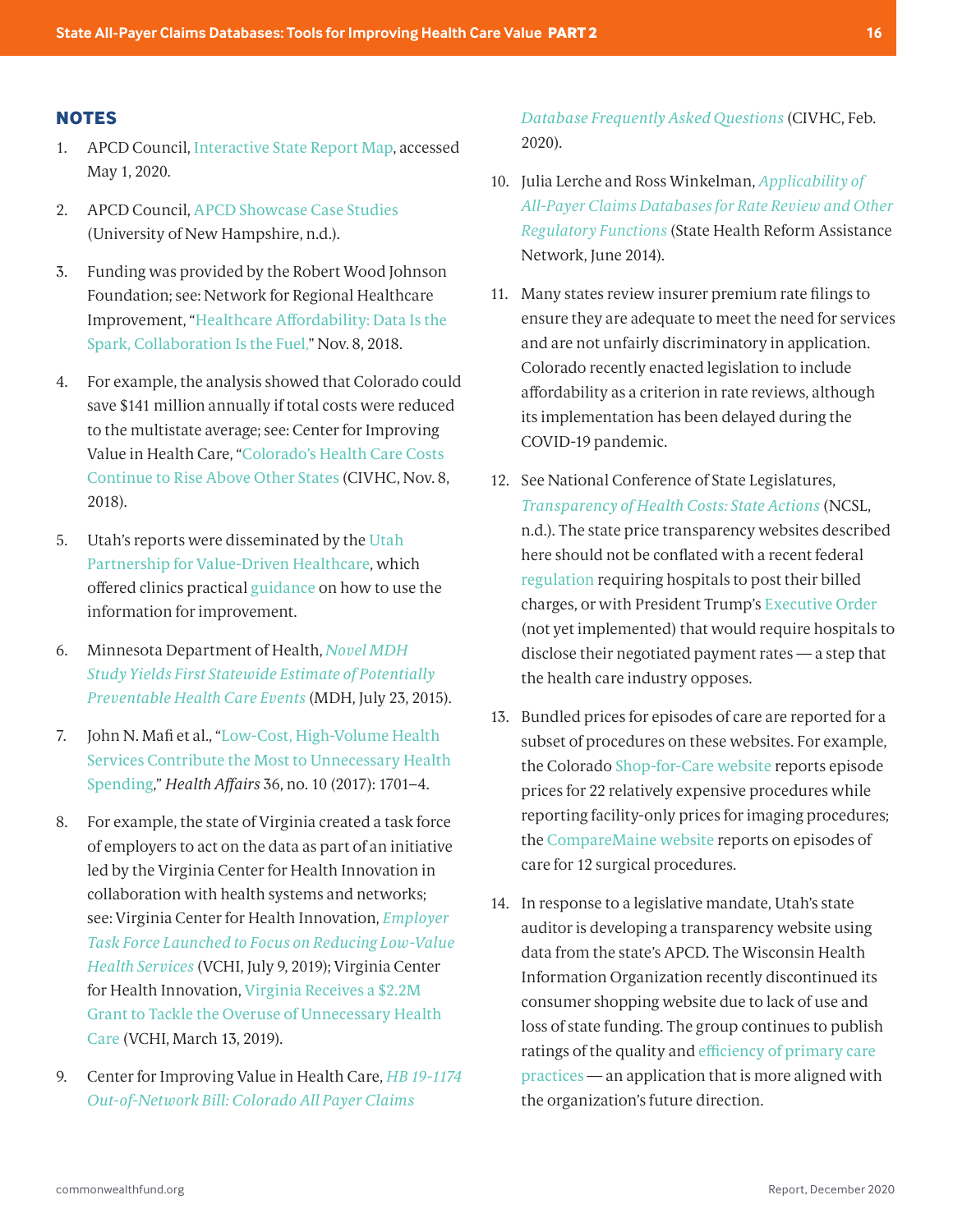#### <span id="page-15-0"></span>**NOTES**

- [1](#page-1-0). APCD Council, [Interactive State Report Map](https://www.apcdcouncil.org/state/map), accessed May 1, 2020.
- [2](#page-1-0). APCD Council, [APCD Showcase Case Studies](https://www.apcdshowcase.org/case-studies) (University of New Hampshire, n.d.).
- [3](#page-2-0). Funding was provided by the Robert Wood Johnson Foundation; see: Network for Regional Healthcare Improvement, "[Healthcare Affordability: Data Is the](https://www.nrhi.org/uploads/rwj_tcoc_phaseiii_benchmark_2018_r7.pdf)  [Spark, Collaboration Is the Fuel](https://www.nrhi.org/uploads/rwj_tcoc_phaseiii_benchmark_2018_r7.pdf)," Nov. 8, 2018.
- [4.](#page-2-0) For example, the analysis showed that Colorado could save \$141 million annually if total costs were reduced to the multistate average; see: Center for Improving Value in Health Care, "[Colorado's Health Care Costs](https://www.civhc.org/2018/11/08/colorados-health-care-costs-continue-to-rise-above-other-states/)  [Continue to Rise Above Other States](https://www.civhc.org/2018/11/08/colorados-health-care-costs-continue-to-rise-above-other-states/) (CIVHC, Nov. 8, 2018).
- [5](#page-2-0). Utah's reports were disseminated by the [Utah](https://healthinsight.org/totalcostofcare#report-resources-and-definitions)  [Partnership for Value-Driven Healthcare](https://healthinsight.org/totalcostofcare#report-resources-and-definitions), which offered clinics practical [guidance](https://healthinsight.org/totalcostofcare#how-to-use-the-report) on how to use the information for improvement.
- [6.](#page-2-0) Minnesota Department of Health, *[Novel MDH](https://www.health.state.mn.us/news/pressrel/2015/hcevents.html)  [Study Yields First Statewide Estimate of Potentially](https://www.health.state.mn.us/news/pressrel/2015/hcevents.html)  [Preventable Health Care Events](https://www.health.state.mn.us/news/pressrel/2015/hcevents.html)* (MDH, July 23, 2015).
- [7.](#page-2-0) John N. Mafi et al., "[Low-Cost, High-Volume Health](http://doi.org/10.1377/hlthaff.2017.0385)  [Services Contribute the Most to Unnecessary Health](http://doi.org/10.1377/hlthaff.2017.0385)  [Spending](http://doi.org/10.1377/hlthaff.2017.0385)," *Health Affairs* 36, no. 10 (2017): 1701–4.
- [8.](#page-2-0) For example, the state of Virginia created a task force of employers to act on the data as part of an initiative led by the Virginia Center for Health Innovation in collaboration with health systems and networks; see: Virginia Center for Health Innovation, *[Employer](https://www.vahealthinnovation.org/2019/07/09/employer-task-force-launched-to-focus-on-reducing-low-value-health-services/)  [Task Force Launched to Focus on Reducing Low-Value](https://www.vahealthinnovation.org/2019/07/09/employer-task-force-launched-to-focus-on-reducing-low-value-health-services/)  [Health Services](https://www.vahealthinnovation.org/2019/07/09/employer-task-force-launched-to-focus-on-reducing-low-value-health-services/)* (VCHI, July 9, 2019); Virginia Center for Health Innovation, [Virginia Receives a \\$2.2M](https://www.vahealthinnovation.org/2019/03/13/virginia-receives-a-2-2m-grant-to-tackle-the-overuse-of-unnecessary-health-care/)  [Grant to Tackle the Overuse of Unnecessary Health](https://www.vahealthinnovation.org/2019/03/13/virginia-receives-a-2-2m-grant-to-tackle-the-overuse-of-unnecessary-health-care/)  [Care](https://www.vahealthinnovation.org/2019/03/13/virginia-receives-a-2-2m-grant-to-tackle-the-overuse-of-unnecessary-health-care/) (VCHI, March 13, 2019).
- [9.](#page-4-0) Center for Improving Value in Health Care, *[HB 19-1174](https://www.civhc.org/wp-content/uploads/2020/03/Out-of-Network-Bill-FAQs_2.2020.pdf)  [Out-of-Network Bill: Colorado All Payer Claims](https://www.civhc.org/wp-content/uploads/2020/03/Out-of-Network-Bill-FAQs_2.2020.pdf)*

*[Database Frequently Asked Questions](https://www.civhc.org/wp-content/uploads/2020/03/Out-of-Network-Bill-FAQs_2.2020.pdf)* (CIVHC, Feb. 2020).

- [10](#page-4-0). Julia Lerche and Ross Winkelman, *[Applicability of](https://www.shvs.org/applicability-of-all-payer-claims-databases-for-rate-review-and-other-regulatory-functions/)  [All-Payer Claims Databases for Rate Review and Other](https://www.shvs.org/applicability-of-all-payer-claims-databases-for-rate-review-and-other-regulatory-functions/)  [Regulatory Functions](https://www.shvs.org/applicability-of-all-payer-claims-databases-for-rate-review-and-other-regulatory-functions/)* (State Health Reform Assistance Network, June 2014).
- [11.](#page-4-0) Many states review insurer premium rate filings to ensure they are adequate to meet the need for services and are not unfairly discriminatory in application. Colorado recently enacted legislation to include affordability as a criterion in rate reviews, although its implementation has been delayed during the COVID-19 pandemic.
- [12](#page-5-0). See National Conference of State Legislatures, *[Transparency of Health Costs: State Actions](https://www.ncsl.org/research/health/transparency-and-disclosure-health-costs.aspx)* (NCSL, n.d.). The state price transparency websites described here should not be conflated with a recent federal [regulation](https://www.cms.gov/newsroom/fact-sheets/fiscal-year-fy-2019-medicare-hospital-inpatient-prospective-payment-system-ipps-and-long-term-acute-0) requiring hospitals to post their billed charges, or with President Trump's [Executive Order](https://www.whitehouse.gov/presidential-actions/executive-order-improving-price-quality-transparency-american-healthcare-put-patients-first/) (not yet implemented) that would require hospitals to disclose their negotiated payment rates — a step that the health care industry opposes.
- [13](#page-5-0). Bundled prices for episodes of care are reported for a subset of procedures on these websites. For example, the Colorado [Shop-for-Care website](https://www.civhc.org/shop-for-care/) reports episode prices for 22 relatively expensive procedures while reporting facility-only prices for imaging procedures; the [CompareMaine website](https://www.comparemaine.org/) reports on episodes of care for 12 surgical procedures.
- [14](#page-5-0). In response to a legislative mandate, Utah's state auditor is developing a transparency website using data from the state's APCD. The Wisconsin Health Information Organization recently discontinued its consumer shopping website due to lack of use and loss of state funding. The group continues to publish ratings of the quality and [efficiency of primary care](https://whio.org/pcp-county-comparison/)  [practices](https://whio.org/pcp-county-comparison/) — an application that is more aligned with the organization's future direction.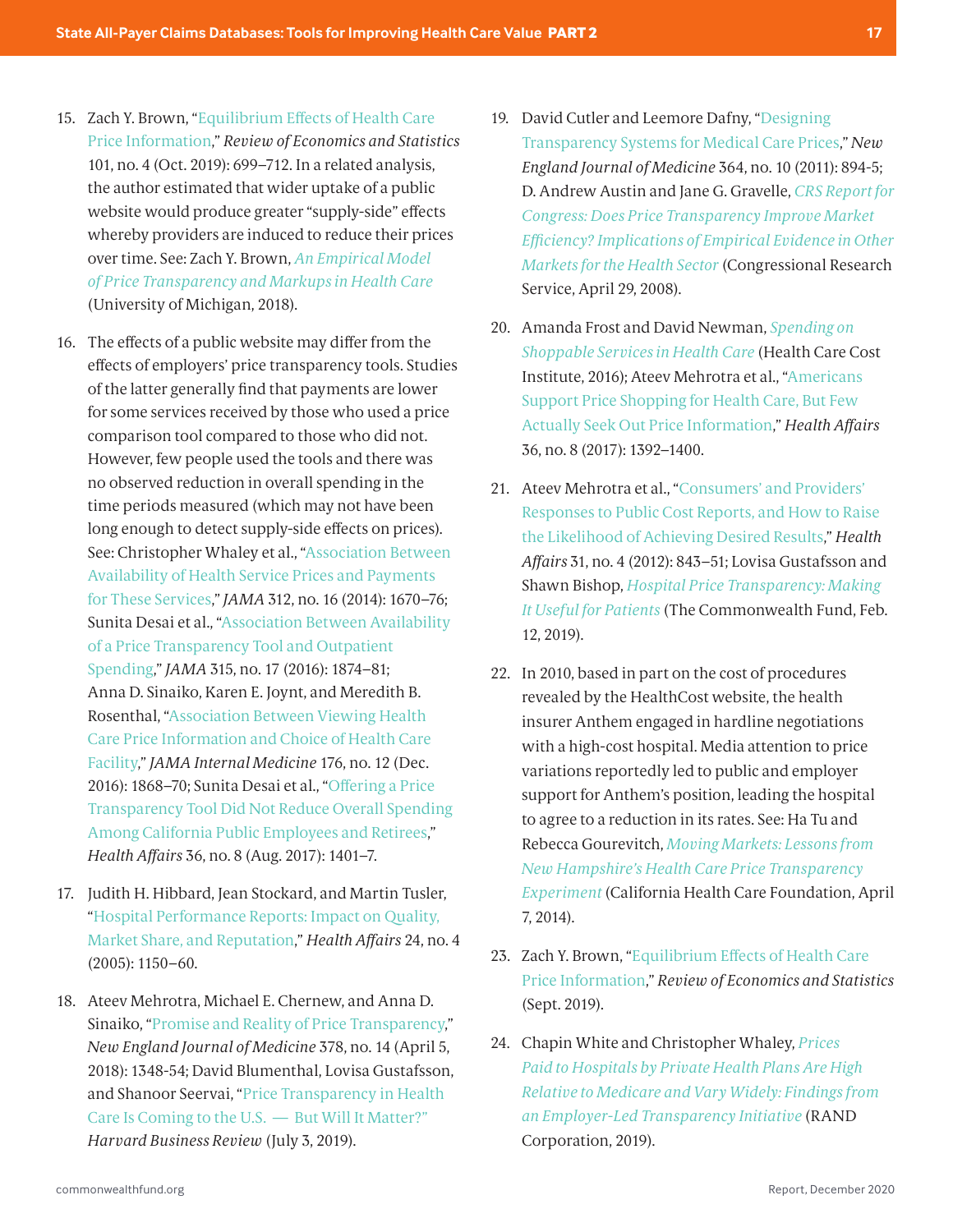- <span id="page-16-0"></span>[15](#page-5-0). Zach Y. Brown, ["Equilibrium Effects of Health Care](https://doi.org/10.1162/rest_a_00765)  [Price Information](https://doi.org/10.1162/rest_a_00765)," *Review of Economics and Statistics* 101, no. 4 (Oct. 2019): 699–712. In a related analysis, the author estimated that wider uptake of a public website would produce greater "supply-side" effects whereby providers are induced to reduce their prices over time. See: Zach Y. Brown, *[An Empirical Model](http://www-personal.umich.edu/~zachb/zbrown_empirical_model_price_transparency.pdf)  [of Price Transparency and Markups in Health Care](http://www-personal.umich.edu/~zachb/zbrown_empirical_model_price_transparency.pdf)* (University of Michigan, 2018).
- [16.](#page-5-0) The effects of a public website may differ from the effects of employers' price transparency tools. Studies of the latter generally find that payments are lower for some services received by those who used a price comparison tool compared to those who did not. However, few people used the tools and there was no observed reduction in overall spending in the time periods measured (which may not have been long enough to detect supply-side effects on prices). See: Christopher Whaley et al., ["Association Between](https://jamanetwork.com/article.aspx?doi=10.1001/jama.2014.13373)  [Availability of Health Service Prices and Payments](https://jamanetwork.com/article.aspx?doi=10.1001/jama.2014.13373)  [for These Services](https://jamanetwork.com/article.aspx?doi=10.1001/jama.2014.13373)," *JAMA* 312, no. 16 (2014): 1670–76; Sunita Desai et al., ["Association Between Availability](https://jamanetwork.com/article.aspx?doi=10.1001/jama.2016.4288)  [of a Price Transparency Tool and Outpatient](https://jamanetwork.com/article.aspx?doi=10.1001/jama.2016.4288)  [Spending,](https://jamanetwork.com/article.aspx?doi=10.1001/jama.2016.4288)" *JAMA* 315, no. 17 (2016): 1874–81; Anna D. Sinaiko, Karen E. Joynt, and Meredith B. Rosenthal, ["Association Between Viewing Health](http://doi.org/10.1001/jamainternmed.2016.6622)  [Care Price Information and Choice of Health Care](http://doi.org/10.1001/jamainternmed.2016.6622)  [Facility,](http://doi.org/10.1001/jamainternmed.2016.6622)" *JAMA Internal Medicine* 176, no. 12 (Dec. 2016): 1868–70; Sunita Desai et al., ["Offering a Price](https://doi.org/10.1377/hlthaff.2016.1636)  [Transparency Tool Did Not Reduce Overall Spending](https://doi.org/10.1377/hlthaff.2016.1636)  [Among California Public Employees and Retirees,](https://doi.org/10.1377/hlthaff.2016.1636)" *Health Affairs* 36, no. 8 (Aug. 2017): 1401–7.
- [17](#page-5-0). Judith H. Hibbard, Jean Stockard, and Martin Tusler, ["Hospital Performance Reports: Impact on Quality,](https://doi.org/10.1377/hlthaff.24.4.1150)  [Market Share, and Reputation](https://doi.org/10.1377/hlthaff.24.4.1150)," *Health Affairs* 24, no. 4 (2005): 1150–60.
- [18.](#page-5-0) Ateev Mehrotra, Michael E. Chernew, and Anna D. Sinaiko, "[Promise and Reality of Price Transparency,](http://doi.org/10.1056/NEJMhpr1715229)" *New England Journal of Medicine* 378, no. 14 (April 5, 2018): 1348-54; David Blumenthal, Lovisa Gustafsson, and Shanoor Seervai, "[Price Transparency in Health](https://hbr.org/2019/07/price-transparency-in-health-care-is-coming-to-the-u-s-but-will-it-matter)  [Care Is Coming to the U.S. — But Will It Matter?](https://hbr.org/2019/07/price-transparency-in-health-care-is-coming-to-the-u-s-but-will-it-matter)" *Harvard Business Review* (July 3, 2019).
- [19.](#page-5-0) David Cutler and Leemore Dafny, "[Designing](http://doi.org/10.1056/NEJMp1100540)  [Transparency Systems for Medical Care Prices,](http://doi.org/10.1056/NEJMp1100540)" *New England Journal of Medicine* 364, no. 10 (2011): 894-5; D. Andrew Austin and Jane G. Gravelle, *[CRS Report for](https://crsreports.congress.gov/product/details?prodcode=RL34101)  [Congress: Does Price Transparency Improve Market](https://crsreports.congress.gov/product/details?prodcode=RL34101)  [Efficiency? Implications of Empirical Evidence in Other](https://crsreports.congress.gov/product/details?prodcode=RL34101)  [Markets for the Health Sector](https://crsreports.congress.gov/product/details?prodcode=RL34101)* (Congressional Research Service, April 29, 2008).
- [20.](#page-5-0) Amanda Frost and David Newman, *[Spending on](https://healthcostinstitute.org/all-hcci-reports/spending-on-shoppable-services-in-health-care)  [Shoppable Services in Health Care](https://healthcostinstitute.org/all-hcci-reports/spending-on-shoppable-services-in-health-care)* (Health Care Cost Institute, 2016); Ateev Mehrotra et al., ["Americans](http://doi.org/10.1377/hlthaff.2016.1471)  [Support Price Shopping for Health Care, But Few](http://doi.org/10.1377/hlthaff.2016.1471)  [Actually Seek Out Price Information,](http://doi.org/10.1377/hlthaff.2016.1471)" *Health Affairs* 36, no. 8 (2017): 1392–1400.
- [21](#page-5-0). Ateev Mehrotra et al., ["Consumers' and Providers'](https://doi.org/10.1377/hlthaff.2011.1181)  [Responses to Public Cost Reports, and How to Raise](https://doi.org/10.1377/hlthaff.2011.1181)  [the Likelihood of Achieving Desired Results](https://doi.org/10.1377/hlthaff.2011.1181)," *Health Affairs* 31, no. 4 (2012): 843–51; Lovisa Gustafsson and Shawn Bishop, *[Hospital Price Transparency: Making](https://www.commonwealthfund.org/blog/2019/hospital-price-transparency-making-it-useful-patients)  [It Useful for Patients](https://www.commonwealthfund.org/blog/2019/hospital-price-transparency-making-it-useful-patients)* (The Commonwealth Fund, Feb. 12, 2019).
- [22.](#page-5-0) In 2010, based in part on the cost of procedures revealed by the HealthCost website, the health insurer Anthem engaged in hardline negotiations with a high-cost hospital. Media attention to price variations reportedly led to public and employer support for Anthem's position, leading the hospital to agree to a reduction in its rates. See: Ha Tu and Rebecca Gourevitch, *[Moving Markets: Lessons from](https://www.chcf.org/publication/moving-markets-lessons-from-new-hampshires-health-care-price-transparency-experiment/)  [New Hampshire's Health Care Price Transparency](https://www.chcf.org/publication/moving-markets-lessons-from-new-hampshires-health-care-price-transparency-experiment/)  [Experiment](https://www.chcf.org/publication/moving-markets-lessons-from-new-hampshires-health-care-price-transparency-experiment/)* (California Health Care Foundation, April 7, 2014).
- [23.](#page-5-0) Zach Y. Brown, ["Equilibrium Effects of Health Care](https://doi.org/10.1162/rest_a_00765)  [Price Information](https://doi.org/10.1162/rest_a_00765)," *Review of Economics and Statistics* (Sept. 2019).
- [24.](#page-8-0) Chapin White and Christopher Whaley, *[Prices](https://www.rand.org/pubs/research_reports/RR3033.html)  [Paid to Hospitals by Private Health Plans Are High](https://www.rand.org/pubs/research_reports/RR3033.html)  [Relative to Medicare and Vary Widely: Findings from](https://www.rand.org/pubs/research_reports/RR3033.html)  [an Employer-Led Transparency Initiative](https://www.rand.org/pubs/research_reports/RR3033.html)* (RAND Corporation, 2019).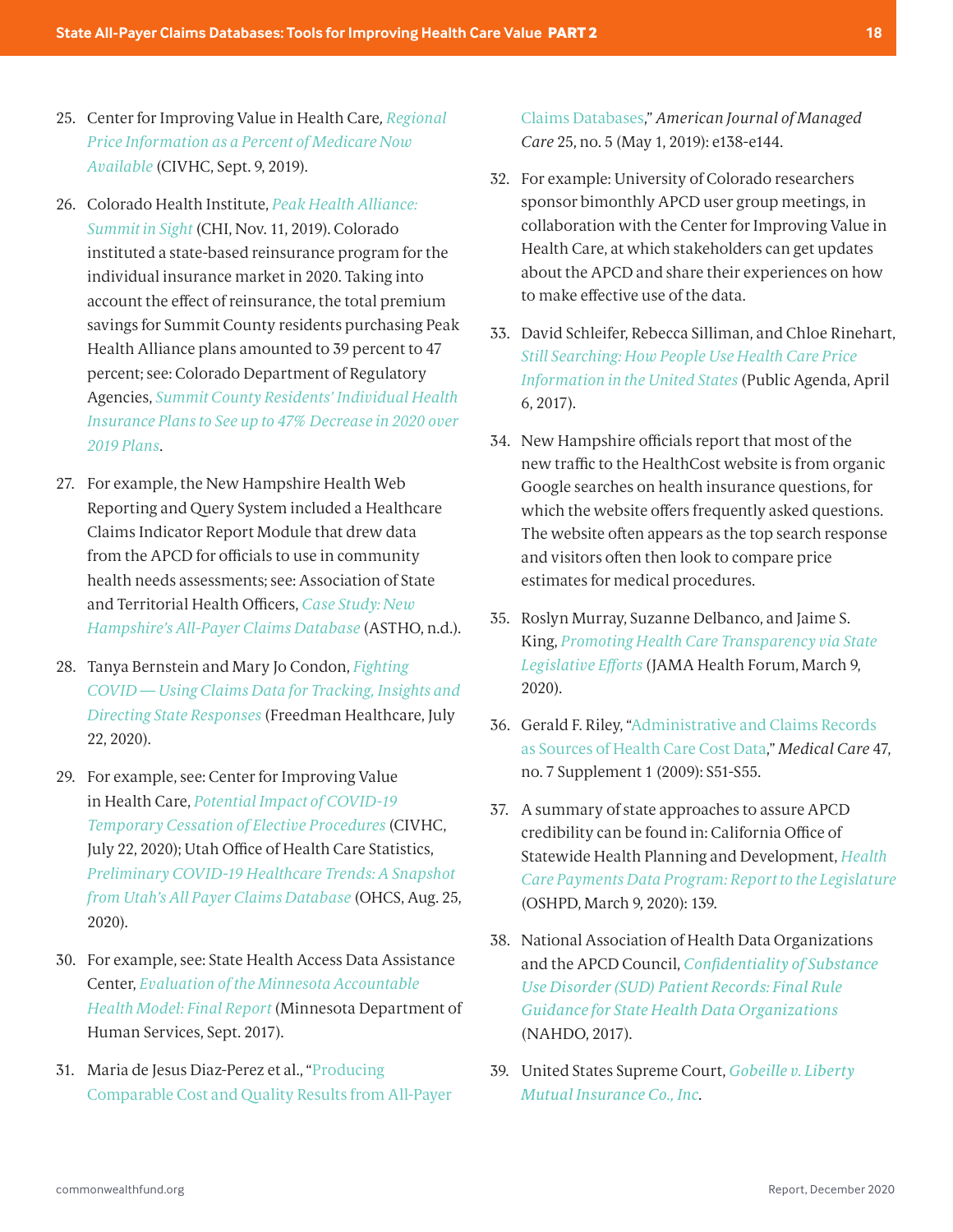- <span id="page-17-0"></span>[25.](#page-8-0) Center for Improving Value in Health Care*, [Regional](https://www.civhc.org/get-data/public-data/focus-areas/reference-pricing/)  [Price Information as a Percent of Medicare Now](https://www.civhc.org/get-data/public-data/focus-areas/reference-pricing/)  [Available](https://www.civhc.org/get-data/public-data/focus-areas/reference-pricing/)* (CIVHC, Sept. 9, 2019).
- [26.](#page-8-0) Colorado Health Institute, *[Peak Health Alliance:](https://www.coloradohealthinstitute.org/research/peak-health-alliance-summit-sight)  [Summit in Sight](https://www.coloradohealthinstitute.org/research/peak-health-alliance-summit-sight)* (CHI, Nov. 11, 2019). Colorado instituted a state-based reinsurance program for the individual insurance market in 2020. Taking into account the effect of reinsurance, the total premium savings for Summit County residents purchasing Peak Health Alliance plans amounted to 39 percent to 47 percent; see: Colorado Department of Regulatory Agencies, *[Summit County Residents' Individual Health](https://www.colorado.gov/governor/news/summit-county-residents-individual-health-insurance-plans-see-47-decrease-2020-over-2019-plans)  [Insurance Plans to See up to 47% Decrease in 2020 over](https://www.colorado.gov/governor/news/summit-county-residents-individual-health-insurance-plans-see-47-decrease-2020-over-2019-plans)  [2019 Plans](https://www.colorado.gov/governor/news/summit-county-residents-individual-health-insurance-plans-see-47-decrease-2020-over-2019-plans)*.
- [27.](#page-8-0) For example, the New Hampshire Health Web Reporting and Query System included a Healthcare Claims Indicator Report Module that drew data from the APCD for officials to use in community health needs assessments; see: Association of State and Territorial Health Officers, *[Case Study: New](https://astho.org/Health-Systems-Transformation/Medicaid-and-Public-Health-Partnerships/Case-Studies/New-Hampshire-All-Payer-Claims-Database/)  [Hampshire's All-Payer Claims Database](https://astho.org/Health-Systems-Transformation/Medicaid-and-Public-Health-Partnerships/Case-Studies/New-Hampshire-All-Payer-Claims-Database/)* (ASTHO, n.d.).
- [28.](#page-8-0) Tanya Bernstein and Mary Jo Condon, *[Fighting](https://apcdjournal.com/analytics/fhc-webinar-covid-related-analyses-using-apcd-data)  [COVID — Using Claims Data for Tracking, Insights and](https://apcdjournal.com/analytics/fhc-webinar-covid-related-analyses-using-apcd-data)  [Directing State Responses](https://apcdjournal.com/analytics/fhc-webinar-covid-related-analyses-using-apcd-data)* (Freedman Healthcare, July 22, 2020).
- [29](#page-8-0). For example, see: Center for Improving Value in Health Care, *[Potential Impact of COVID-19](https://www.civhc.org/covid-19/potential-impact-of-covid-19-temporary-cessation-of-elective-procedures/)  [Temporary Cessation of Elective Procedures](https://www.civhc.org/covid-19/potential-impact-of-covid-19-temporary-cessation-of-elective-procedures/)* (CIVHC, July 22, 2020); Utah Office of Health Care Statistics, *[Preliminary COVID-19 Healthcare Trends: A Snapshot](http://stats.health.utah.gov/latest-news/preliminary-covid-19-healthcare-trends/)  [from Utah's All Payer Claims Database](http://stats.health.utah.gov/latest-news/preliminary-covid-19-healthcare-trends/)* (OHCS, Aug. 25, 2020).
- [30.](#page-9-0) For example, see: State Health Access Data Assistance Center, *[Evaluation of the Minnesota Accountable](https://www.dhs.state.mn.us/main/groups/sim/documents/pub/dhs-297901~1.pdf)  [Health Model: Final Report](https://www.dhs.state.mn.us/main/groups/sim/documents/pub/dhs-297901~1.pdf)* (Minnesota Department of Human Services, Sept. 2017).
- [31.](#page-9-0) Maria de Jesus Diaz-Perez et al., "[Producing](https://www.ajmc.com/journals/issue/2019/2019-vol25-n5/producing-comparable-cost-and-quality-results-from-allpayer-claims-databases)  [Comparable Cost and Quality Results from All-Payer](https://www.ajmc.com/journals/issue/2019/2019-vol25-n5/producing-comparable-cost-and-quality-results-from-allpayer-claims-databases)

[Claims Databases,](https://www.ajmc.com/journals/issue/2019/2019-vol25-n5/producing-comparable-cost-and-quality-results-from-allpayer-claims-databases)" *American Journal of Managed Care* 25, no. 5 (May 1, 2019): e138-e144.

- [32](#page-10-0). For example: University of Colorado researchers sponsor bimonthly APCD user group meetings, in collaboration with the Center for Improving Value in Health Care, at which stakeholders can get updates about the APCD and share their experiences on how to make effective use of the data.
- [33.](#page-10-0) David Schleifer, Rebecca Silliman, and Chloe Rinehart, *[Still Searching: How People Use Health Care Price](https://www.publicagenda.org/reports/still-searching-how-people-use-health-care-price-information-in-the-united-states/)  [Information in the United States](https://www.publicagenda.org/reports/still-searching-how-people-use-health-care-price-information-in-the-united-states/)* (Public Agenda, April 6, 2017).
- [34.](#page-10-0) New Hampshire officials report that most of the new traffic to the HealthCost website is from organic Google searches on health insurance questions, for which the website offers frequently asked questions. The website often appears as the top search response and visitors often then look to compare price estimates for medical procedures.
- [35.](#page-10-0) Roslyn Murray, Suzanne Delbanco, and Jaime S. King, *[Promoting Health Care Transparency via State](https://jamanetwork.com/channels/health-forum/fullarticle/2762936)  [Legislative Efforts](https://jamanetwork.com/channels/health-forum/fullarticle/2762936)* (JAMA Health Forum, March 9, 2020).
- [36.](#page-10-0) Gerald F. Riley, ["Administrative and Claims Records](https://journals.lww.com/lww-medicalcare/Abstract/2009/07001/Administrative_and_Claims_Records_as_Sources_of.9.aspx)  [as Sources of Health Care Cost Data,](https://journals.lww.com/lww-medicalcare/Abstract/2009/07001/Administrative_and_Claims_Records_as_Sources_of.9.aspx)" *Medical Care* 47, no. 7 Supplement 1 (2009): S51-S55.
- [37.](#page-10-0) A summary of state approaches to assure APCD credibility can be found in: California Office of Statewide Health Planning and Development, *[Health](https://oshpd.ca.gov/data-and-reports/cost-transparency/healthcare-payments/)  [Care Payments Data Program: Report to the Legislature](https://oshpd.ca.gov/data-and-reports/cost-transparency/healthcare-payments/)* (OSHPD, March 9, 2020): 139.
- [38.](#page-11-0) National Association of Health Data Organizations and the APCD Council, *[Confidentiality of Substance](https://www.nahdo.org/sites/default/files/SAMHSA%20Guidance%20FINAL%205%2019%2017.pdf)  [Use Disorder \(SUD\) Patient Records: Final Rule](https://www.nahdo.org/sites/default/files/SAMHSA%20Guidance%20FINAL%205%2019%2017.pdf)  [Guidance for State Health Data Organizations](https://www.nahdo.org/sites/default/files/SAMHSA%20Guidance%20FINAL%205%2019%2017.pdf)* (NAHDO, 2017).
- [39](#page-11-0). United States Supreme Court, *[Gobeille v. Liberty](https://www.supremecourt.gov/opinions/15pdf/14-181_5426.pdf)  [Mutual Insurance Co., Inc](https://www.supremecourt.gov/opinions/15pdf/14-181_5426.pdf)*.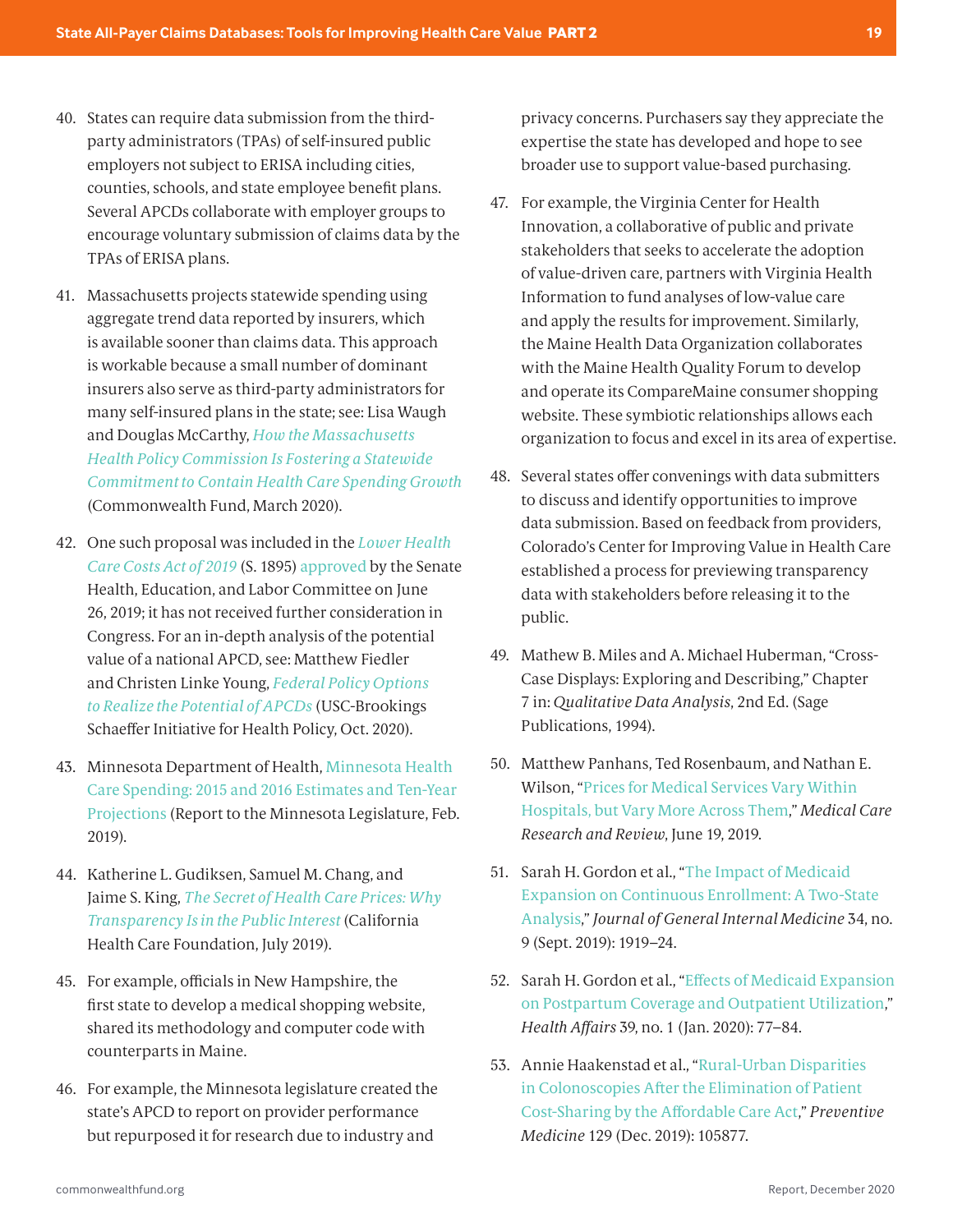- <span id="page-18-0"></span>[40.](#page-11-0) States can require data submission from the thirdparty administrators (TPAs) of self-insured public employers not subject to ERISA including cities, counties, schools, and state employee benefit plans. Several APCDs collaborate with employer groups to encourage voluntary submission of claims data by the TPAs of ERISA plans.
- [41.](#page-11-0) Massachusetts projects statewide spending using aggregate trend data reported by insurers, which is available sooner than claims data. This approach is workable because a small number of dominant insurers also serve as third-party administrators for many self-insured plans in the state; see: Lisa Waugh and Douglas McCarthy, *[How the Massachusetts](https://doi.org/10.26099/myt4-2630)  [Health Policy Commission Is Fostering a Statewide](https://doi.org/10.26099/myt4-2630)  [Commitment to Contain Health Care Spending Growth](https://doi.org/10.26099/myt4-2630)* (Commonwealth Fund, March 2020).
- [42.](#page-11-0) One such proposal was included in the *[Lower Health](https://www.congress.gov/bill/116th-congress/senate-bill/1895/all-info)  [Care Costs Act of 2019](https://www.congress.gov/bill/116th-congress/senate-bill/1895/all-info)* (S. 1895) [approved](https://www.help.senate.gov/chair/newsroom/press/alexander-senate-health-committee-votes-20-to-3-for-bipartisan-bill-to-reduce-health-care-costs) by the Senate Health, Education, and Labor Committee on June 26, 2019; it has not received further consideration in Congress. For an in-depth analysis of the potential value of a national APCD, see: Matthew Fiedler and Christen Linke Young, *[Federal Policy Options](https://www.brookings.edu/wp-content/uploads/2020/10/APCD-Final-1.pdf)  [to Realize the Potential of APCDs](https://www.brookings.edu/wp-content/uploads/2020/10/APCD-Final-1.pdf)* (USC-Brookings Schaeffer Initiative for Health Policy, Oct. 2020).
- [43.](#page-11-0) Minnesota Department of Health, [Minnesota Health](https://www.health.state.mn.us/data/economics/docs/costs/healthspending2019.pdf)  [Care Spending: 2015 and 2016 Estimates and Ten-Year](https://www.health.state.mn.us/data/economics/docs/costs/healthspending2019.pdf)  [Projections](https://www.health.state.mn.us/data/economics/docs/costs/healthspending2019.pdf) (Report to the Minnesota Legislature, Feb. 2019).
- [44](#page-11-0). Katherine L. Gudiksen, Samuel M. Chang, and Jaime S. King, *[The Secret of Health Care Prices: Why](https://www.chcf.org/publication/secret-health-care-prices/)  [Transparency Is in the Public Interest](https://www.chcf.org/publication/secret-health-care-prices/)*(California Health Care Foundation, July 2019).
- [45.](#page-11-0) For example, officials in New Hampshire, the first state to develop a medical shopping website, shared its methodology and computer code with counterparts in Maine.
- [46.](#page-11-0) For example, the Minnesota legislature created the state's APCD to report on provider performance but repurposed it for research due to industry and

privacy concerns. Purchasers say they appreciate the expertise the state has developed and hope to see broader use to support value-based purchasing.

- [47.](#page-12-0) For example, the Virginia Center for Health Innovation, a collaborative of public and private stakeholders that seeks to accelerate the adoption of value-driven care, partners with Virginia Health Information to fund analyses of low-value care and apply the results for improvement. Similarly, the Maine Health Data Organization collaborates with the Maine Health Quality Forum to develop and operate its CompareMaine consumer shopping website. These symbiotic relationships allows each organization to focus and excel in its area of expertise.
- [48.](#page-12-0) Several states offer convenings with data submitters to discuss and identify opportunities to improve data submission. Based on feedback from providers, Colorado's Center for Improving Value in Health Care established a process for previewing transparency data with stakeholders before releasing it to the public.
- [49](#page-12-0). Mathew B. Miles and A. Michael Huberman, "Cross-Case Displays: Exploring and Describing," Chapter 7 in: *Qualitative Data Analysis*, 2nd Ed. (Sage Publications, 1994).
- [50.](#page-14-0) Matthew Panhans, Ted Rosenbaum, and Nathan E. Wilson, "[Prices for Medical Services Vary Within](https://doi.org/10.1177/1077558719853375)  [Hospitals, but Vary More Across Them](https://doi.org/10.1177/1077558719853375)," *Medical Care Research and Review*, June 19, 2019.
- [51.](#page-14-0) Sarah H. Gordon et al., "[The Impact of Medicaid](http://doi.org/10.1007/s11606-019-05101-8)  [Expansion on Continuous Enrollment: A Two-State](http://doi.org/10.1007/s11606-019-05101-8)  [Analysis](http://doi.org/10.1007/s11606-019-05101-8)," *Journal of General Internal Medicine* 34, no. 9 (Sept. 2019): 1919–24.
- [52](#page-14-0). Sarah H. Gordon et al., "[Effects of Medicaid Expansion](http://doi.org/10.1377/hlthaff.2019.00547)  [on Postpartum Coverage and Outpatient Utilization](http://doi.org/10.1377/hlthaff.2019.00547)," *Health Affairs* 39, no. 1 (Jan. 2020): 77–84.
- [53.](#page-14-0) Annie Haakenstad et al., "[Rural-Urban Disparities](https://doi.org/10.1016/j.ypmed.2019.105877)  [in Colonoscopies After the Elimination of Patient](https://doi.org/10.1016/j.ypmed.2019.105877)  [Cost-Sharing by the Affordable Care Act](https://doi.org/10.1016/j.ypmed.2019.105877)," *Preventive Medicine* 129 (Dec. 2019): 105877.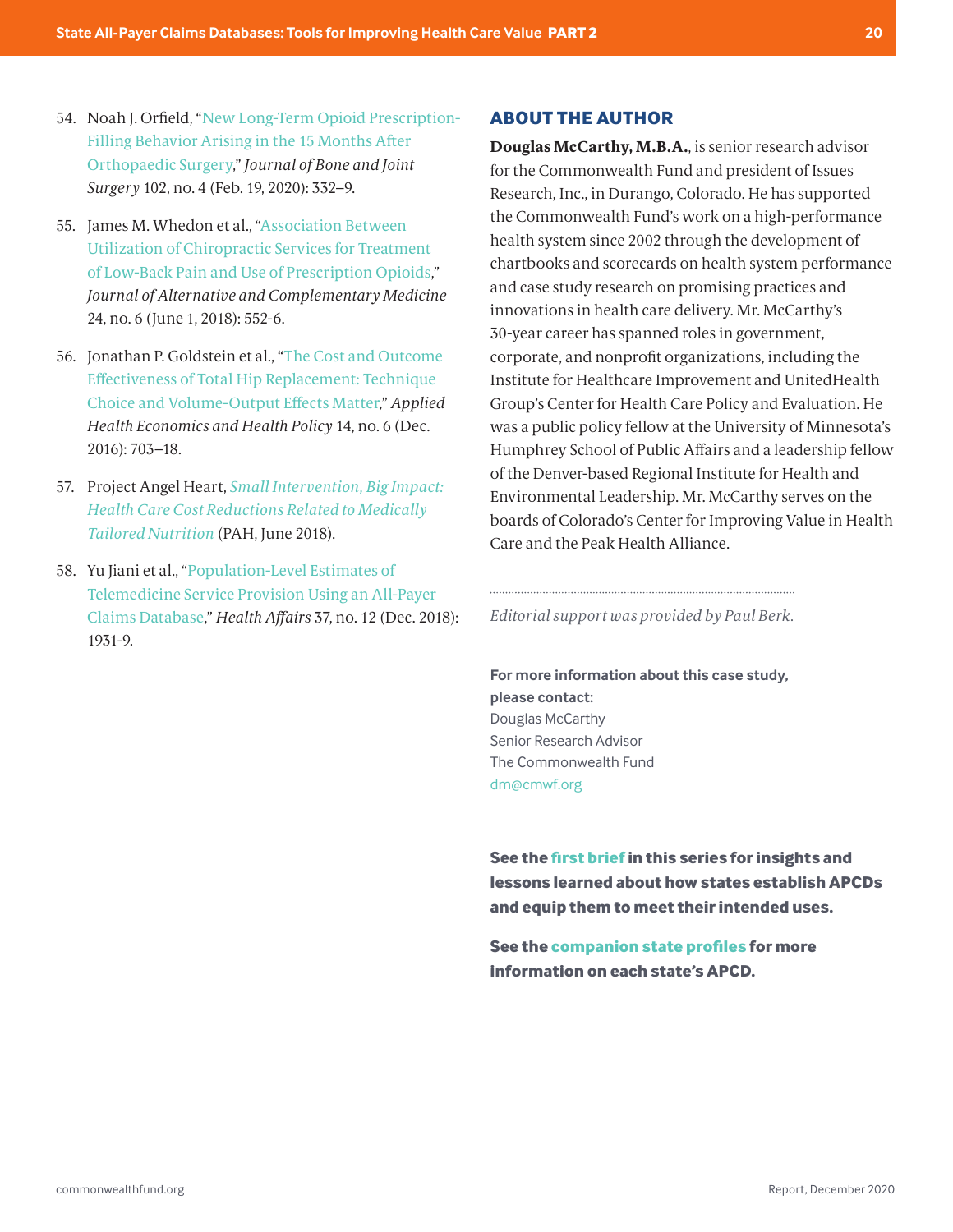- <span id="page-19-0"></span>[54.](#page-14-0) Noah J. Orfield, "[New Long-Term Opioid Prescription-](http://doi.org/10.2106/JBJS.19.00241)[Filling Behavior Arising in the 15 Months After](http://doi.org/10.2106/JBJS.19.00241)  [Orthopaedic Surgery](http://doi.org/10.2106/JBJS.19.00241)," *Journal of Bone and Joint Surgery* 102, no. 4 (Feb. 19, 2020): 332–9.
- [55.](#page-14-0) James M. Whedon et al., "[Association Between](https://doi.org/10.1089/acm.2017.0131)  [Utilization of Chiropractic Services for Treatment](https://doi.org/10.1089/acm.2017.0131)  [of Low-Back Pain and Use of Prescription Opioids](https://doi.org/10.1089/acm.2017.0131)," *Journal of Alternative and Complementary Medicine* 24, no. 6 (June 1, 2018): 552-6.
- [56.](#page-14-0) Jonathan P. Goldstein et al., "[The Cost and Outcome](https://doi.org/10.1007/s40258-016-0260-3)  [Effectiveness of Total Hip Replacement: Technique](https://doi.org/10.1007/s40258-016-0260-3)  [Choice and Volume-Output Effects Matter](https://doi.org/10.1007/s40258-016-0260-3)," *Applied Health Economics and Health Policy* 14, no. 6 (Dec. 2016): 703–18.
- [57.](#page-14-0) Project Angel Heart, *[Small Intervention, Big Impact:](https://www.projectangelheart.org/food-is-medicine/research-policy/small-intervention-big-impact/)  [Health Care Cost Reductions Related to Medically](https://www.projectangelheart.org/food-is-medicine/research-policy/small-intervention-big-impact/)  [Tailored Nutrition](https://www.projectangelheart.org/food-is-medicine/research-policy/small-intervention-big-impact/)* (PAH, June 2018).
- [58.](#page-14-0) Yu Jiani et al., "[Population-Level Estimates of](https://doi.org/10.1377/hlthaff.2018.05116)  [Telemedicine Service Provision Using an All-Payer](https://doi.org/10.1377/hlthaff.2018.05116)  [Claims Database](https://doi.org/10.1377/hlthaff.2018.05116)," *Health Affairs* 37, no. 12 (Dec. 2018): 1931-9.

#### **ABOUT THE AUTHOR**

**Douglas McCarthy, M.B.A.**, is senior research advisor for the Commonwealth Fund and president of Issues Research, Inc., in Durango, Colorado. He has supported the Commonwealth Fund's work on a high-performance health system since 2002 through the development of chartbooks and scorecards on health system performance and case study research on promising practices and innovations in health care delivery. Mr. McCarthy's 30-year career has spanned roles in government, corporate, and nonprofit organizations, including the Institute for Healthcare Improvement and UnitedHealth Group's Center for Health Care Policy and Evaluation. He was a public policy fellow at the University of Minnesota's Humphrey School of Public Affairs and a leadership fellow of the Denver-based Regional Institute for Health and Environmental Leadership. Mr. McCarthy serves on the boards of Colorado's Center for Improving Value in Health Care and the Peak Health Alliance.

*Editorial support was provided by Paul Berk.*

**For more information about this case study, please contact:** Douglas McCarthy Senior Research Advisor The Commonwealth Fund dm@cmwf.org

**See the [first brief](https://www.commonwealthfund.org/publications/fund-reports/2020/dec/state-apcds-part-1-establish-make-functional) in this series for insights and lessons learned about how states establish APCDs and equip them to meet their intended uses.**

**See the [companion state profiles](https://www.commonwealthfund.org/sites/default/files/2020-12/McCarthy_State_APCD_Profiles_Dec2020.pdf) for more information on each state's APCD.**